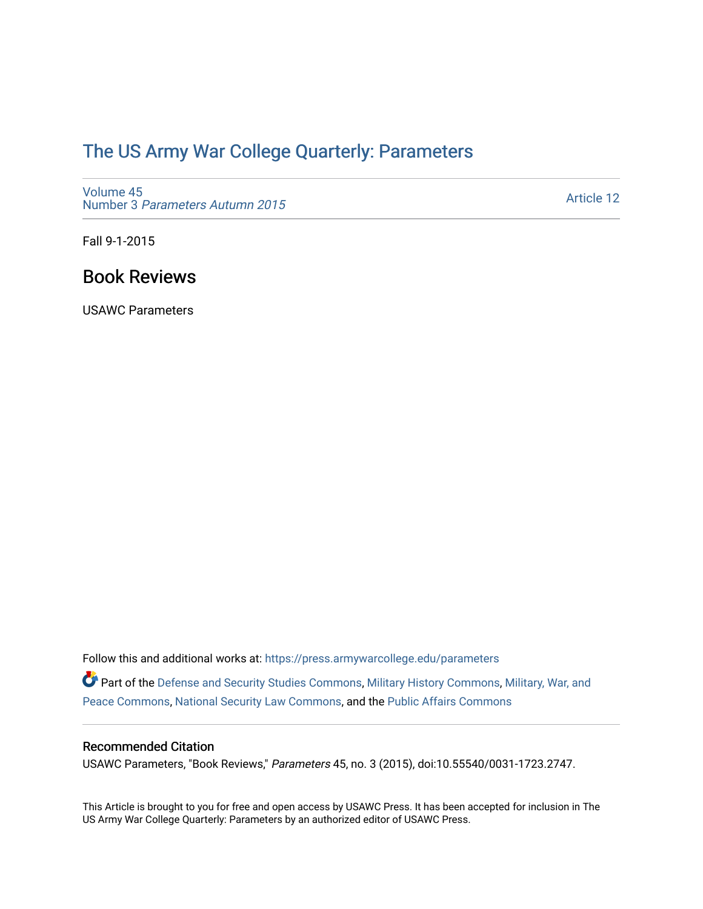# [The US Army War College Quarterly: Parameters](https://press.armywarcollege.edu/parameters)

[Volume 45](https://press.armywarcollege.edu/parameters/vol45) Number 3 [Parameters Autumn 2015](https://press.armywarcollege.edu/parameters/vol45/iss3)

[Article 12](https://press.armywarcollege.edu/parameters/vol45/iss3/12) 

Fall 9-1-2015

# Book Reviews

USAWC Parameters

Follow this and additional works at: [https://press.armywarcollege.edu/parameters](https://press.armywarcollege.edu/parameters?utm_source=press.armywarcollege.edu%2Fparameters%2Fvol45%2Fiss3%2F12&utm_medium=PDF&utm_campaign=PDFCoverPages)  Part of the [Defense and Security Studies Commons](http://network.bepress.com/hgg/discipline/394?utm_source=press.armywarcollege.edu%2Fparameters%2Fvol45%2Fiss3%2F12&utm_medium=PDF&utm_campaign=PDFCoverPages), [Military History Commons,](http://network.bepress.com/hgg/discipline/504?utm_source=press.armywarcollege.edu%2Fparameters%2Fvol45%2Fiss3%2F12&utm_medium=PDF&utm_campaign=PDFCoverPages) Military, War, and [Peace Commons](http://network.bepress.com/hgg/discipline/861?utm_source=press.armywarcollege.edu%2Fparameters%2Fvol45%2Fiss3%2F12&utm_medium=PDF&utm_campaign=PDFCoverPages), [National Security Law Commons,](http://network.bepress.com/hgg/discipline/1114?utm_source=press.armywarcollege.edu%2Fparameters%2Fvol45%2Fiss3%2F12&utm_medium=PDF&utm_campaign=PDFCoverPages) and the [Public Affairs Commons](http://network.bepress.com/hgg/discipline/399?utm_source=press.armywarcollege.edu%2Fparameters%2Fvol45%2Fiss3%2F12&utm_medium=PDF&utm_campaign=PDFCoverPages) 

## Recommended Citation

USAWC Parameters, "Book Reviews," Parameters 45, no. 3 (2015), doi:10.55540/0031-1723.2747.

This Article is brought to you for free and open access by USAWC Press. It has been accepted for inclusion in The US Army War College Quarterly: Parameters by an authorized editor of USAWC Press.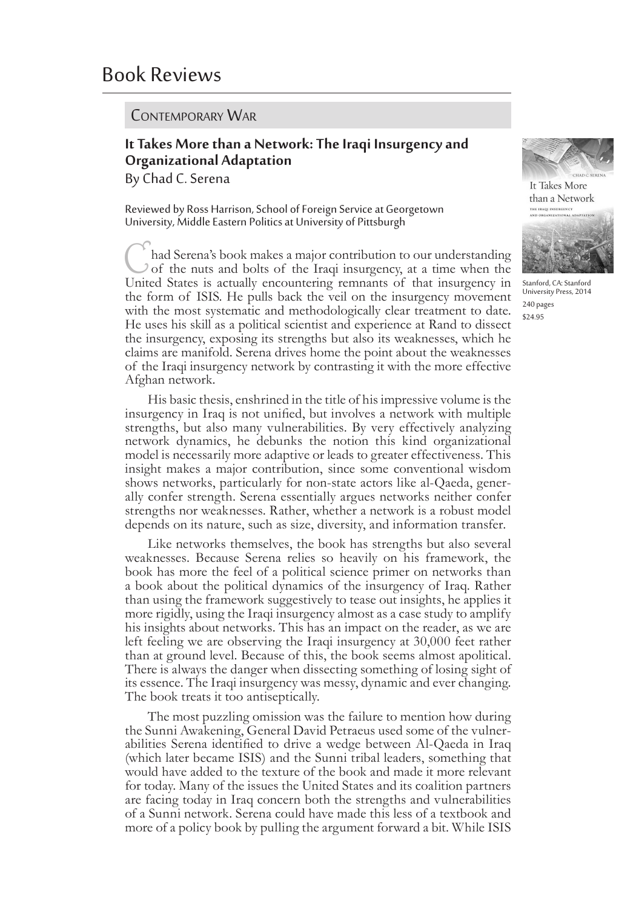#### Contemporary War

# **It Takes More than a Network: The Iraqi Insurgency and Organizational Adaptation**

By Chad C. Serena

Reviewed by Ross Harrison, School of Foreign Service at Georgetown University, Middle Eastern Politics at University of Pittsburgh

had Serena's book makes a major contribution to our understanding of the nuts and bolts of the Iraqi insurgency, at a time when the United States is actually encountering remnants of that insurgency in the form of ISIS. He pulls back the veil on the insurgency movement with the most systematic and methodologically clear treatment to date. He uses his skill as a political scientist and experience at Rand to dissect the insurgency, exposing its strengths but also its weaknesses, which he claims are manifold. Serena drives home the point about the weaknesses of the Iraqi insurgency network by contrasting it with the more effective Afghan network.

His basic thesis, enshrined in the title of his impressive volume is the insurgency in Iraq is not unified, but involves a network with multiple strengths, but also many vulnerabilities. By very effectively analyzing network dynamics, he debunks the notion this kind organizational model is necessarily more adaptive or leads to greater effectiveness. This insight makes a major contribution, since some conventional wisdom shows networks, particularly for non-state actors like al-Qaeda, generally confer strength. Serena essentially argues networks neither confer strengths nor weaknesses. Rather, whether a network is a robust model depends on its nature, such as size, diversity, and information transfer.

Like networks themselves, the book has strengths but also several weaknesses. Because Serena relies so heavily on his framework, the book has more the feel of a political science primer on networks than a book about the political dynamics of the insurgency of Iraq. Rather than using the framework suggestively to tease out insights, he applies it more rigidly, using the Iraqi insurgency almost as a case study to amplify his insights about networks. This has an impact on the reader, as we are left feeling we are observing the Iraqi insurgency at 30,000 feet rather than at ground level. Because of this, the book seems almost apolitical. There is always the danger when dissecting something of losing sight of its essence. The Iraqi insurgency was messy, dynamic and ever changing. The book treats it too antiseptically.

The most puzzling omission was the failure to mention how during the Sunni Awakening, General David Petraeus used some of the vulner- abilities Serena identified to drive a wedge between Al-Qaeda in Iraq (which later became ISIS) and the Sunni tribal leaders, something that would have added to the texture of the book and made it more relevant for today. Many of the issues the United States and its coalition partners are facing today in Iraq concern both the strengths and vulnerabilities of a Sunni network. Serena could have made this less of a textbook and more of a policy book by pulling the argument forward a bit. While ISIS



It Takes More than a Network



Stanford, CA: Stanford University Press, 2014 240 pages \$24.95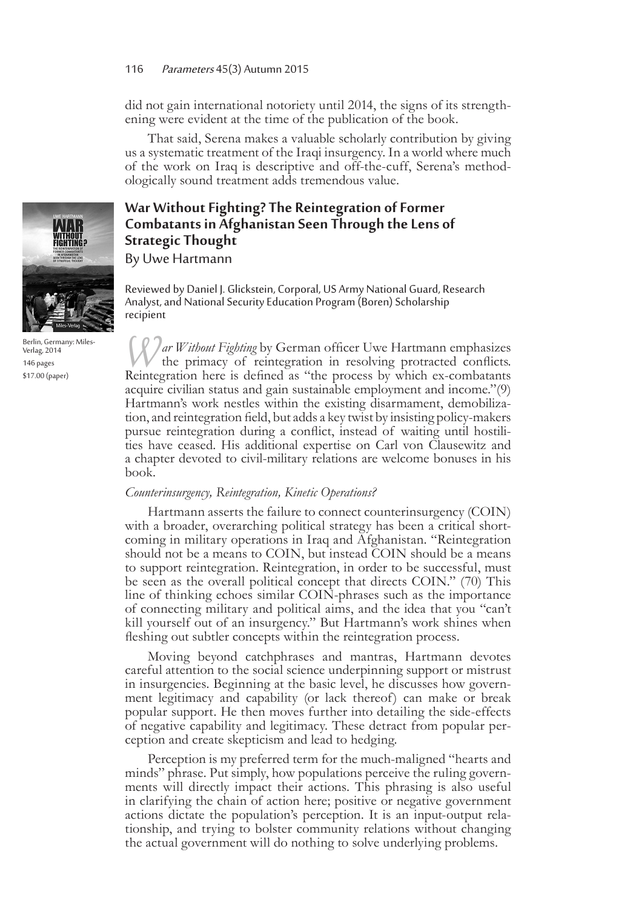did not gain international notoriety until 2014, the signs of its strength- ening were evident at the time of the publication of the book.

That said, Serena makes a valuable scholarly contribution by giving us a systematic treatment of the Iraqi insurgency. In a world where much of the work on Iraq is descriptive and off-the-cuff, Serena's method- ologically sound treatment adds tremendous value.

# **War Without Fighting? The Reintegration of Former Combatants in Afghanistan Seen Through the Lens of Strategic Thought**

By Uwe Hartmann

Reviewed by Daniel J. Glickstein, Corporal, US Army National Guard, Research Analyst, and National Security Education Program (Boren) Scholarship recipient

*Nar Without Fighting* by German officer Uwe Hartmann emphasizes the primacy of reintegration in resolving protracted conflicts. Reintegration here is defined as "the process by which ex-combatants acquire civilian status and gain sustainable employment and income."(9) Hartmann's work nestles within the existing disarmament, demobilization, and reintegration field, but adds a key twist by insisting policy-makers pursue reintegration during a conflict, instead of waiting until hostilities have ceased. His additional expertise on Carl von Clausewitz and a chapter devoted to civil-military relations are welcome bonuses in his book.

#### *Counterinsurgency, Reintegration, Kinetic Operations?*

Hartmann asserts the failure to connect counterinsurgency (COIN) with a broader, overarching political strategy has been a critical shortcoming in military operations in Iraq and Afghanistan. "Reintegration should not be a means to COIN, but instead COIN should be a means to support reintegration. Reintegration, in order to be successful, must be seen as the overall political concept that directs COIN." (70) This line of thinking echoes similar COIN-phrases such as the importance of connecting military and political aims, and the idea that you "can't kill yourself out of an insurgency." But Hartmann's work shines when fleshing out subtler concepts within the reintegration process.

Moving beyond catchphrases and mantras, Hartmann devotes careful attention to the social science underpinning support or mistrust in insurgencies. Beginning at the basic level, he discusses how govern- ment legitimacy and capability (or lack thereof) can make or break popular support. He then moves further into detailing the side-effects of negative capability and legitimacy. These detract from popular per- ception and create skepticism and lead to hedging.

Perception is my preferred term for the much-maligned "hearts and minds" phrase. Put simply, how populations perceive the ruling govern- ments will directly impact their actions. This phrasing is also useful in clarifying the chain of action here; positive or negative government actions dictate the population's perception. It is an input-output rela- tionship, and trying to bolster community relations without changing the actual government will do nothing to solve underlying problems.



Berlin, Germany: Miles-Verlag, 2014 146 pages \$17.00 (paper)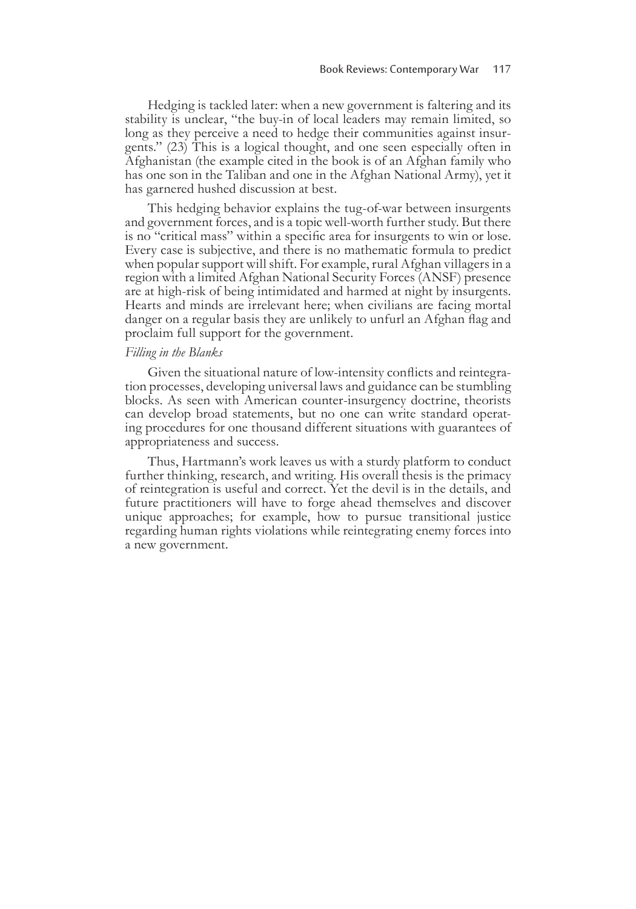Hedging is tackled later: when a new government is faltering and its stability is unclear, "the buy-in of local leaders may remain limited, so long as they perceive a need to hedge their communities against insurgents." (23) This is a logical thought, and one seen especially often in Afghanistan (the example cited in the book is of an Afghan family who has one son in the Taliban and one in the Afghan National Army), yet it has garnered hushed discussion at best.

This hedging behavior explains the tug-of-war between insurgents and government forces, and is a topic well-worth further study. But there is no "critical mass" within a specific area for insurgents to win or lose. Every case is subjective, and there is no mathematic formula to predict when popular support will shift. For example, rural Afghan villagers in a region with a limited Afghan National Security Forces (ANSF) presence are at high-risk of being intimidated and harmed at night by insurgents. Hearts and minds are irrelevant here; when civilians are facing mortal danger on a regular basis they are unlikely to unfurl an Afghan flag and proclaim full support for the government.

#### *Filling in the Blanks*

Given the situational nature of low-intensity conflicts and reintegra- tion processes, developing universal laws and guidance can be stumbling blocks. As seen with American counter-insurgency doctrine, theorists can develop broad statements, but no one can write standard operat- ing procedures for one thousand different situations with guarantees of appropriateness and success.

Thus, Hartmann's work leaves us with a sturdy platform to conduct further thinking, research, and writing. His overall thesis is the primacy of reintegration is useful and correct. Yet the devil is in the details, and future practitioners will have to forge ahead themselves and discover unique approaches; for example, how to pursue transitional justice regarding human rights violations while reintegrating enemy forces into a new government.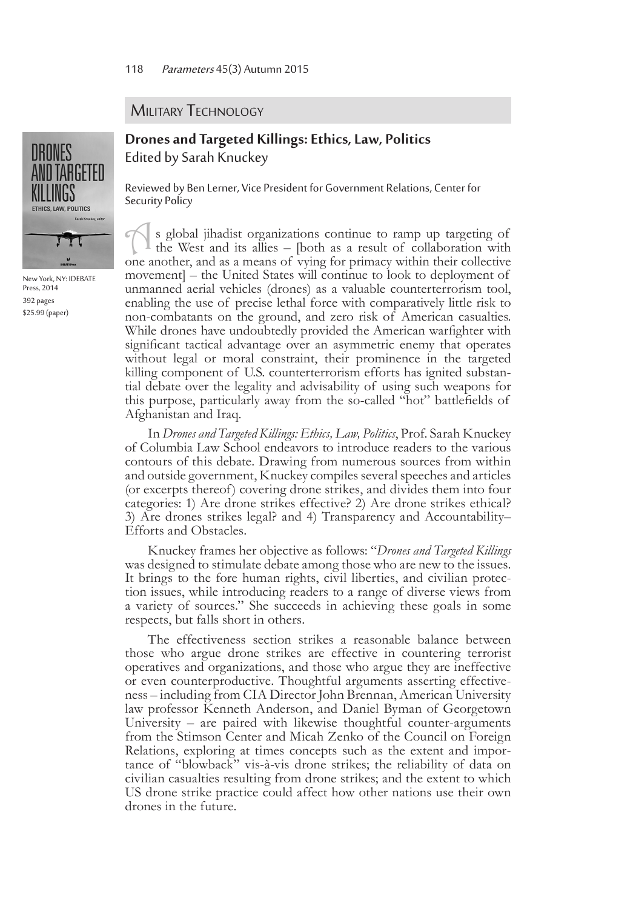#### **MILITARY TECHNOLOGY**

## **Drones and Targeted Killings: Ethics, Law, Politics** Edited by Sarah Knuckey

Reviewed by Ben Lerner, Vice President for Government Relations, Center for Security Policy

As global jihadist organizations continue to ramp up targeting of the West and its allies – [both as a result of collaboration with one another, and as a means of vying for primacy within their collective movement] – the United States will continue to look to deployment of unmanned aerial vehicles (drones) as a valuable counterterrorism tool, enabling the use of precise lethal force with comparatively little risk to non-combatants on the ground, and zero risk of American casualties. While drones have undoubtedly provided the American warfighter with significant tactical advantage over an asymmetric enemy that operates without legal or moral constraint, their prominence in the targeted killing component of U.S. counterterrorism efforts has ignited substantial debate over the legality and advisability of using such weapons for this purpose, particularly away from the so-called "hot" battlefields of Afghanistan and Iraq.

In *Drones and Targeted Killings: Ethics, Law, Politics*, Prof. Sarah Knuckey of Columbia Law School endeavors to introduce readers to the various contours of this debate. Drawing from numerous sources from within and outside government, Knuckey compiles several speeches and articles (or excerpts thereof) covering drone strikes, and divides them into four categories: 1) Are drone strikes effective? 2) Are drone strikes ethical? 3) Are drones strikes legal? and 4) Transparency and Accountability– Efforts and Obstacles.

Knuckey frames her objective as follows: "*Drones and Targeted Killings* was designed to stimulate debate among those who are new to the issues. It brings to the fore human rights, civil liberties, and civilian protection issues, while introducing readers to a range of diverse views from a variety of sources." She succeeds in achieving these goals in some respects, but falls short in others.

The effectiveness section strikes a reasonable balance between those who argue drone strikes are effective in countering terrorist operatives and organizations, and those who argue they are ineffective or even counterproductive. Thoughtful arguments asserting effective- ness – including from CIA Director John Brennan, American University law professor Kenneth Anderson, and Daniel Byman of Georgetown University – are paired with likewise thoughtful counter-arguments from the Stimson Center and Micah Zenko of the Council on Foreign Relations, exploring at times concepts such as the extent and importance of "blowback" vis-à-vis drone strikes; the reliability of data on civilian casualties resulting from drone strikes; and the extent to which US drone strike practice could affect how other nations use their own drones in the future.



New York, NY: IDEBATE Press, 2014 392 pages \$25.99 (paper)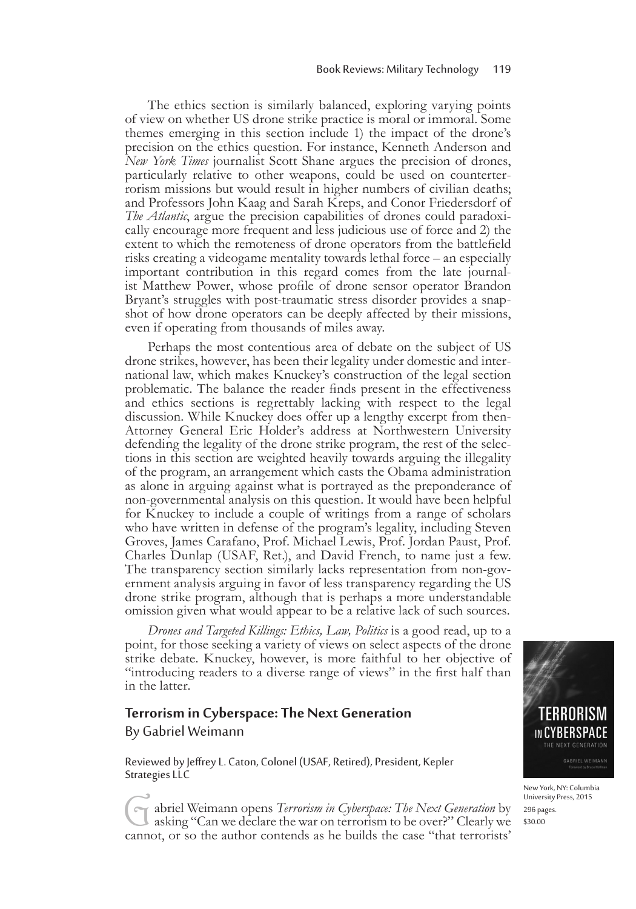The ethics section is similarly balanced, exploring varying points of view on whether US drone strike practice is moral or immoral. Some themes emerging in this section include 1) the impact of the drone's precision on the ethics question. For instance, Kenneth Anderson and *New York Times* journalist Scott Shane argues the precision of drones, particularly relative to other weapons, could be used on counterter- rorism missions but would result in higher numbers of civilian deaths; and Professors John Kaag and Sarah Kreps, and Conor Friedersdorf of *The Atlantic*, argue the precision capabilities of drones could paradoxically encourage more frequent and less judicious use of force and 2) the extent to which the remoteness of drone operators from the battlefield risks creating a videogame mentality towards lethal force – an especially important contribution in this regard comes from the late journal- ist Matthew Power, whose profile of drone sensor operator Brandon Bryant's struggles with post-traumatic stress disorder provides a snap- shot of how drone operators can be deeply affected by their missions, even if operating from thousands of miles away.

Perhaps the most contentious area of debate on the subject of US drone strikes, however, has been their legality under domestic and inter- national law, which makes Knuckey's construction of the legal section problematic. The balance the reader finds present in the effectiveness and ethics sections is regrettably lacking with respect to the legal discussion. While Knuckey does offer up a lengthy excerpt from then-Attorney General Eric Holder's address at Northwestern University defending the legality of the drone strike program, the rest of the selections in this section are weighted heavily towards arguing the illegality of the program, an arrangement which casts the Obama administration as alone in arguing against what is portrayed as the preponderance of non-governmental analysis on this question. It would have been helpful for Knuckey to include a couple of writings from a range of scholars who have written in defense of the program's legality, including Steven Groves, James Carafano, Prof. Michael Lewis, Prof. Jordan Paust, Prof. Charles Dunlap (USAF, Ret.), and David French, to name just a few. The transparency section similarly lacks representation from non-gov- ernment analysis arguing in favor of less transparency regarding the US drone strike program, although that is perhaps a more understandable omission given what would appear to be a relative lack of such sources.

*Drones and Targeted Killings: Ethics, Law, Politics* is a good read, up to a point, for those seeking a variety of views on select aspects of the drone strike debate. Knuckey, however, is more faithful to her objective of "introducing readers to a diverse range of views" in the first half than in the latter.

#### **Terrorism in Cyberspace: The Next Generation**

By Gabriel Weimann

Reviewed by Jeffrey L. Caton, Colonel (USAF, Retired), President, Kepler Strategies LLC

Gabriel Weimann opens *Terrorism in Cyberspace: The Next Generation* by asking "Can we declare the war on terrorism to be over?" Clearly we cannot, or so the author contends as he builds the case "that terrorists'



New York, NY: Columbia University Press, 2015 296 pages. \$30.00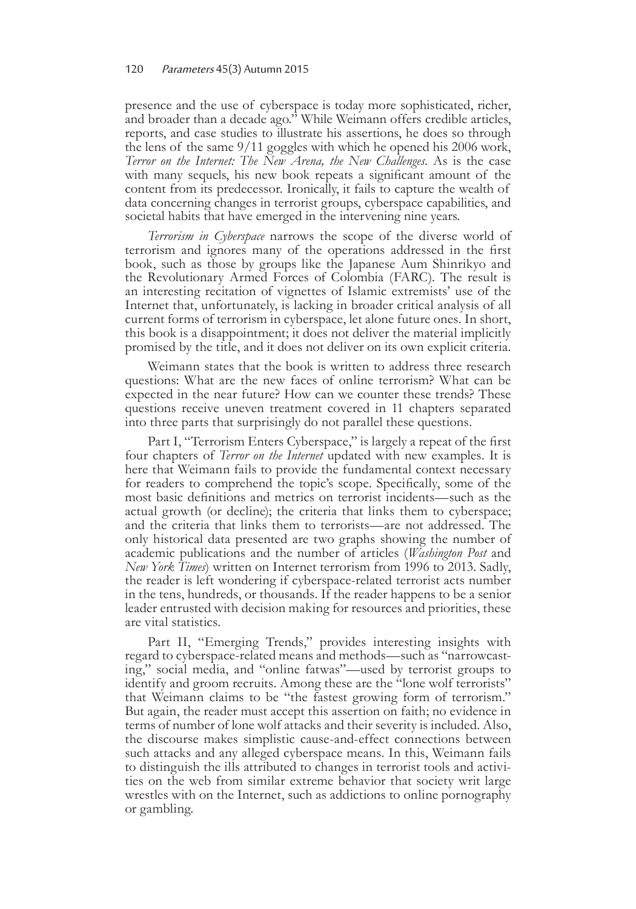presence and the use of cyberspace is today more sophisticated, richer, and broader than a decade ago." While Weimann offers credible articles, reports, and case studies to illustrate his assertions, he does so through the lens of the same 9/11 goggles with which he opened his 2006 work, *Terror on the Internet: The New Arena, the New Challenges*. As is the case with many sequels, his new book repeats a significant amount of the content from its predecessor. Ironically, it fails to capture the wealth of data concerning changes in terrorist groups, cyberspace capabilities, and societal habits that have emerged in the intervening nine years.

*Terrorism in Cyberspace* narrows the scope of the diverse world of terrorism and ignores many of the operations addressed in the first book, such as those by groups like the Japanese Aum Shinrikyo and the Revolutionary Armed Forces of Colombia (FARC). The result is an interesting recitation of vignettes of Islamic extremists' use of the Internet that, unfortunately, is lacking in broader critical analysis of all current forms of terrorism in cyberspace, let alone future ones. In short, this book is a disappointment; it does not deliver the material implicitly promised by the title, and it does not deliver on its own explicit criteria.

Weimann states that the book is written to address three research questions: What are the new faces of online terrorism? What can be expected in the near future? How can we counter these trends? These questions receive uneven treatment covered in 11 chapters separated into three parts that surprisingly do not parallel these questions.

Part I, "Terrorism Enters Cyberspace," is largely a repeat of the first four chapters of *Terror on the Internet* updated with new examples. It is here that Weimann fails to provide the fundamental context necessary for readers to comprehend the topic's scope. Specifically, some of the most basic definitions and metrics on terrorist incidents—such as the actual growth (or decline); the criteria that links them to cyberspace; and the criteria that links them to terrorists—are not addressed. The only historical data presented are two graphs showing the number of academic publications and the number of articles (*Washington Post* and *New York Times*) written on Internet terrorism from 1996 to 2013. Sadly, the reader is left wondering if cyberspace-related terrorist acts number in the tens, hundreds, or thousands. If the reader happens to be a senior leader entrusted with decision making for resources and priorities, these are vital statistics.

Part II, "Emerging Trends," provides interesting insights with regard to cyberspace-related means and methods—such as "narrowcasting," social media, and "online fatwas"—used by terrorist groups to identify and groom recruits. Among these are the "lone wolf terrorists" that Weimann claims to be "the fastest growing form of terrorism." But again, the reader must accept this assertion on faith; no evidence in terms of number of lone wolf attacks and their severity is included. Also, the discourse makes simplistic cause-and-effect connections between such attacks and any alleged cyberspace means. In this, Weimann fails to distinguish the ills attributed to changes in terrorist tools and activities on the web from similar extreme behavior that society writ large wrestles with on the Internet, such as addictions to online pornography or gambling.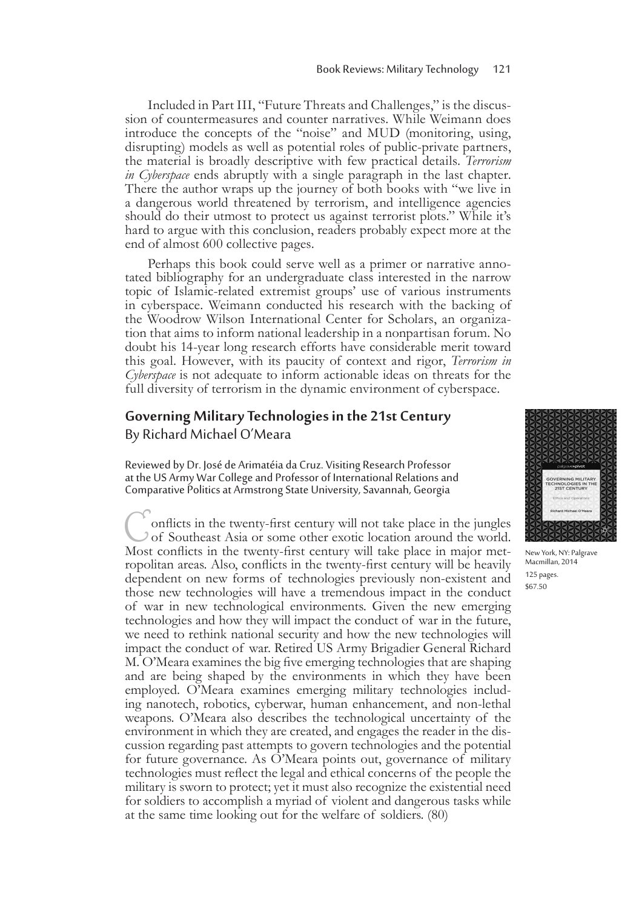Included in Part III, "Future Threats and Challenges," is the discus- sion of countermeasures and counter narratives. While Weimann does introduce the concepts of the "noise" and MUD (monitoring, using, disrupting) models as well as potential roles of public-private partners, the material is broadly descriptive with few practical details. *Terrorism in Cyberspace* ends abruptly with a single paragraph in the last chapter. There the author wraps up the journey of both books with "we live in a dangerous world threatened by terrorism, and intelligence agencies should do their utmost to protect us against terrorist plots." While it's hard to argue with this conclusion, readers probably expect more at the end of almost 600 collective pages.

Perhaps this book could serve well as a primer or narrative anno-<br>tated bibliography for an undergraduate class interested in the narrow topic of Islamic-related extremist groups' use of various instruments in cyberspace. Weimann conducted his research with the backing of the Woodrow Wilson International Center for Scholars, an organiza- tion that aims to inform national leadership in a nonpartisan forum. No doubt his 14-year long research efforts have considerable merit toward this goal. However, with its paucity of context and rigor, *Terrorism in Cyberspace* is not adequate to inform actionable ideas on threats for the full diversity of terrorism in the dynamic environment of cyberspace.

#### **Governing Military Technologies in the 21st Century**

By Richard Michael O'Meara

Reviewed by Dr. José de Arimatéia da Cruz. Visiting Research Professor at the US Army War College and Professor of International Relations and Comparative Politics at Armstrong State University, Savannah, Georgia

onflicts in the twenty-first century will not take place in the jungles of Southeast Asia or some other exotic location around the world. Most conflicts in the twenty-first century will take place in major metropolitan areas. Also, conflicts in the twenty-first century will be heavily dependent on new forms of technologies previously non-existent and those new technologies will have a tremendous impact in the conduct of war in new technological environments. Given the new emerging technologies and how they will impact the conduct of war in the future, we need to rethink national security and how the new technologies will impact the conduct of war. Retired US Army Brigadier General Richard M. O'Meara examines the big five emerging technologies that are shaping and are being shaped by the environments in which they have been employed. O'Meara examines emerging military technologies including nanotech, robotics, cyberwar, human enhancement, and non-lethal weapons. O'Meara also describes the technological uncertainty of the environment in which they are created, and engages the reader in the discussion regarding past attempts to govern technologies and the potential for future governance. As O'Meara points out, governance of military technologies must reflect the legal and ethical concerns of the people the military is sworn to protect; yet it must also recognize the existential need for soldiers to accomplish a myriad of violent and dangerous tasks while at the same time looking out for the welfare of soldiers. (80)



New York, NY: Palgrave Macmillan, 2014 125 pages. \$67.50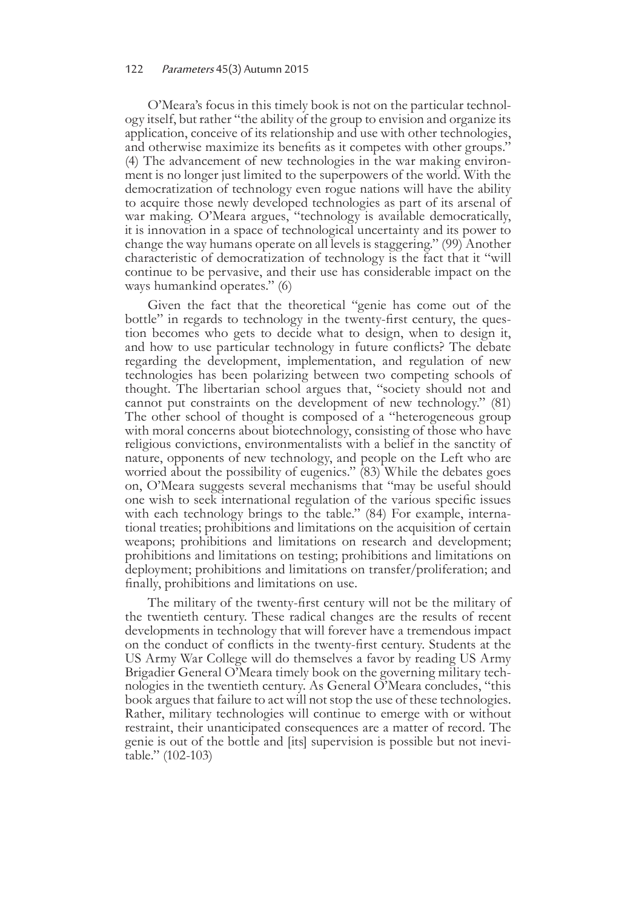#### 122 Parameters 45(3) Autumn 2015

O'Meara's focus in this timely book is not on the particular technol- ogy itself, but rather "the ability of the group to envision and organize its application, conceive of its relationship and use with other technologies, and otherwise maximize its benefits as it competes with other groups." (4) The advancement of new technologies in the war making environ- ment is no longer just limited to the superpowers of the world. With the democratization of technology even rogue nations will have the ability to acquire those newly developed technologies as part of its arsenal of war making. O'Meara argues, "technology is available democratically, it is innovation in a space of technological uncertainty and its power to change the way humans operate on all levels is staggering." (99) Another characteristic of democratization of technology is the fact that it "will continue to be pervasive, and their use has considerable impact on the ways humankind operates." (6)

Given the fact that the theoretical "genie has come out of the bottle" in regards to technology in the twenty-first century, the ques- tion becomes who gets to decide what to design, when to design it, and how to use particular technology in future conflicts? The debate regarding the development, implementation, and regulation of new technologies has been polarizing between two competing schools of thought. The libertarian school argues that, "society should not and cannot put constraints on the development of new technology." (81) The other school of thought is composed of a "heterogeneous group with moral concerns about biotechnology, consisting of those who have religious convictions, environmentalists with a belief in the sanctity of nature, opponents of new technology, and people on the Left who are worried about the possibility of eugenics." (83) While the debates goes on, O'Meara suggests several mechanisms that "may be useful should one wish to seek international regulation of the various specific issues with each technology brings to the table." (84) For example, international treaties; prohibitions and limitations on the acquisition of certain weapons; prohibitions and limitations on research and development; prohibitions and limitations on testing; prohibitions and limitations on deployment; prohibitions and limitations on transfer/proliferation; and finally, prohibitions and limitations on use.

The military of the twenty-first century will not be the military of the twentieth century. These radical changes are the results of recent developments in technology that will forever have a tremendous impact on the conduct of conflicts in the twenty-first century. Students at the US Army War College will do themselves a favor by reading US Army Brigadier General O'Meara timely book on the governing military tech- nologies in the twentieth century. As General O'Meara concludes, "this book argues that failure to act will not stop the use of these technologies. Rather, military technologies will continue to emerge with or without restraint, their unanticipated consequences are a matter of record. The genie is out of the bottle and [its] supervision is possible but not inevitable." (102-103)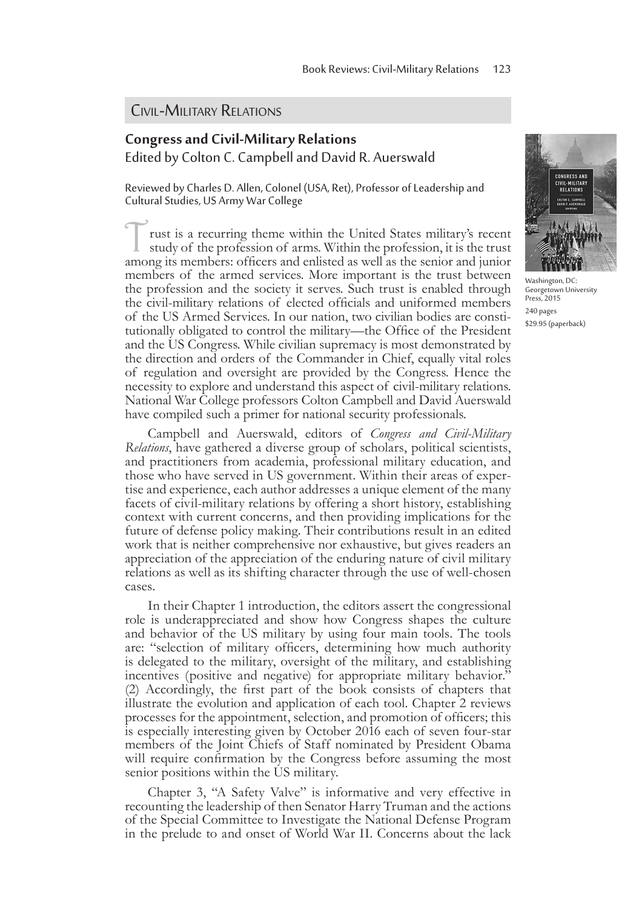#### Civil-Military Relations

## **Congress and Civil-Military Relations**  Edited by Colton C. Campbell and David R. Auerswald

Reviewed by Charles D. Allen, Colonel (USA, Ret), Professor of Leadership and Cultural Studies, US Army War College

rust is a recurring theme within the United States military's recent study of the profession of arms. Within the profession, it is the trust among its members: officers and enlisted as well as the senior and junior members of the armed services. More important is the trust between the profession and the society it serves. Such trust is enabled through the civil-military relations of elected officials and uniformed members of the US Armed Services. In our nation, two civilian bodies are consti- tutionally obligated to control the military—the Office of the President and the US Congress. While civilian supremacy is most demonstrated by the direction and orders of the Commander in Chief, equally vital roles of regulation and oversight are provided by the Congress. Hence the necessity to explore and understand this aspect of civil-military relations. National War College professors Colton Campbell and David Auerswald have compiled such a primer for national security professionals.

Campbell and Auerswald, editors of *Congress and Civil-Military Relations*, have gathered a diverse group of scholars, political scientists, and practitioners from academia, professional military education, and those who have served in US government. Within their areas of expertise and experience, each author addresses a unique element of the many facets of civil-military relations by offering a short history, establishing context with current concerns, and then providing implications for the future of defense policy making. Their contributions result in an edited work that is neither comprehensive nor exhaustive, but gives readers an appreciation of the appreciation of the enduring nature of civil military relations as well as its shifting character through the use of well-chosen cases.

In their Chapter 1 introduction, the editors assert the congressional role is underappreciated and show how Congress shapes the culture and behavior of the US military by using four main tools. The tools are: "selection of military officers, determining how much authority is delegated to the military, oversight of the military, and establishing incentives (positive and negative) for appropriate military behavior." (2) Accordingly, the first part of the book consists of chapters that illustrate the evolution and application of each tool. Chapter 2 reviews processes for the appointment, selection, and promotion of officers; this is especially interesting given by October 2016 each of seven four-star members of the Joint Chiefs of Staff nominated by President Obama will require confirmation by the Congress before assuming the most senior positions within the US military.

Chapter 3, "A Safety Valve" is informative and very effective in recounting the leadership of then Senator Harry Truman and the actions of the Special Committee to Investigate the National Defense Program in the prelude to and onset of World War II. Concerns about the lack



Washington, DC: Georgetown University Press, 2015 240 pages \$29.95 (paperback)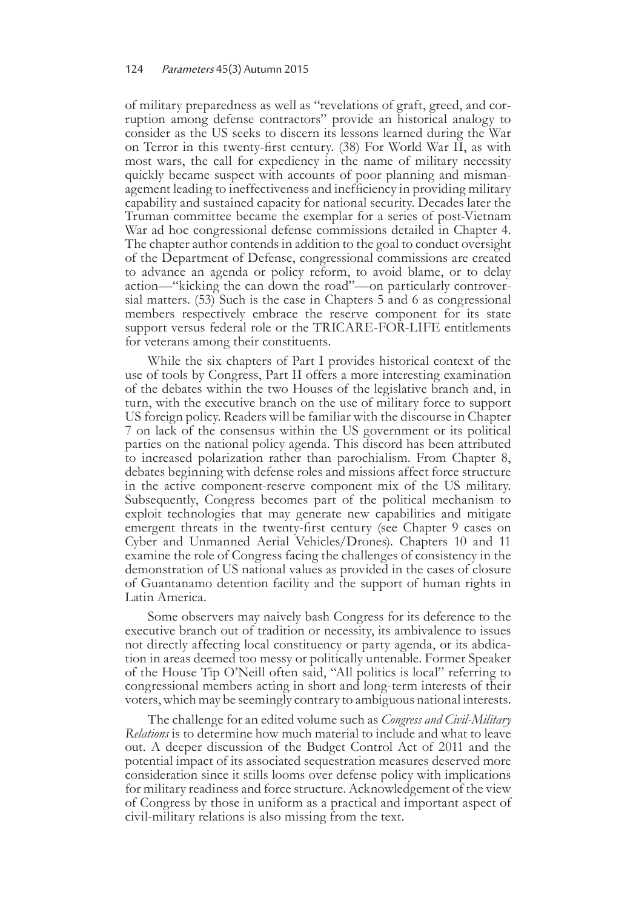of military preparedness as well as "revelations of graft, greed, and cor- ruption among defense contractors" provide an historical analogy to consider as the US seeks to discern its lessons learned during the War on Terror in this twenty-first century. (38) For World War II, as with most wars, the call for expediency in the name of military necessity quickly became suspect with accounts of poor planning and misman- agement leading to ineffectiveness and inefficiency in providing military capability and sustained capacity for national security. Decades later the Truman committee became the exemplar for a series of post-Vietnam War ad hoc congressional defense commissions detailed in Chapter 4. The chapter author contends in addition to the goal to conduct oversight of the Department of Defense, congressional commissions are created to advance an agenda or policy reform, to avoid blame, or to delay action—"kicking the can down the road"—on particularly controversial matters. (53) Such is the case in Chapters 5 and 6 as congressional members respectively embrace the reserve component for its state support versus federal role or the TRICARE-FOR-LIFE entitlements for veterans among their constituents.

While the six chapters of Part I provides historical context of the use of tools by Congress, Part II offers a more interesting examination of the debates within the two Houses of the legislative branch and, in turn, with the executive branch on the use of military force to support US foreign policy. Readers will be familiar with the discourse in Chapter 7 on lack of the consensus within the US government or its political parties on the national policy agenda. This discord has been attributed to increased polarization rather than parochialism. From Chapter 8, debates beginning with defense roles and missions affect force structure in the active component-reserve component mix of the US military. Subsequently, Congress becomes part of the political mechanism to exploit technologies that may generate new capabilities and mitigate emergent threats in the twenty-first century (see Chapter 9 cases on Cyber and Unmanned Aerial Vehicles/Drones). Chapters 10 and 11 examine the role of Congress facing the challenges of consistency in the demonstration of US national values as provided in the cases of closure of Guantanamo detention facility and the support of human rights in Latin America.

Some observers may naively bash Congress for its deference to the executive branch out of tradition or necessity, its ambivalence to issues not directly affecting local constituency or party agenda, or its abdica- tion in areas deemed too messy or politically untenable. Former Speaker of the House Tip O'Neill often said, "All politics is local" referring to congressional members acting in short and long-term interests of their voters, which may be seemingly contrary to ambiguous national interests.

The challenge for an edited volume such as *Congress and Civil-Military Relations* is to determine how much material to include and what to leave out. A deeper discussion of the Budget Control Act of 2011 and the potential impact of its associated sequestration measures deserved more consideration since it stills looms over defense policy with implications for military readiness and force structure. Acknowledgement of the view of Congress by those in uniform as a practical and important aspect of civil-military relations is also missing from the text.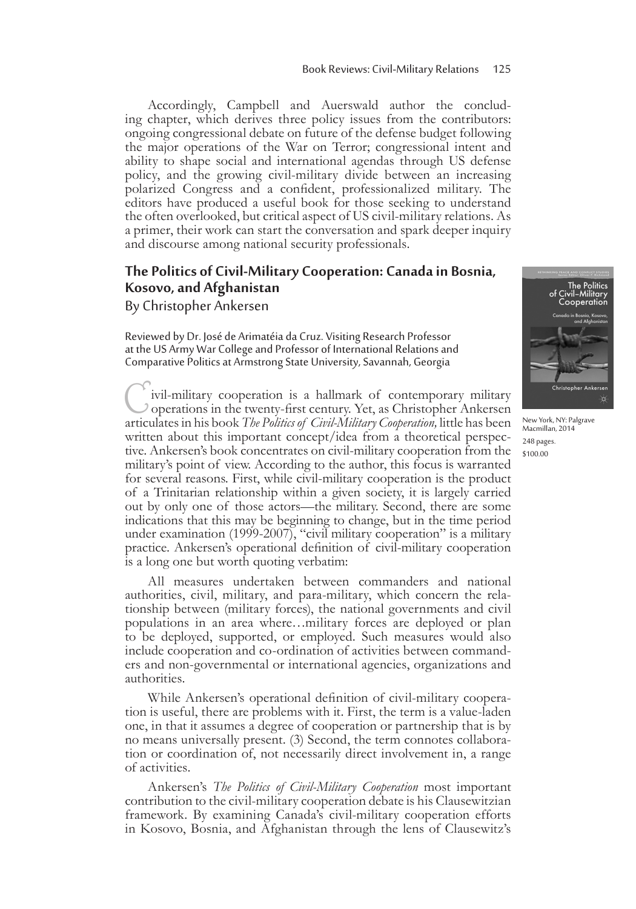Accordingly, Campbell and Auerswald author the conclud-<br>ing chapter, which derives three policy issues from the contributors: ongoing congressional debate on future of the defense budget following the major operations of the War on Terror; congressional intent and ability to shape social and international agendas through US defense policy, and the growing civil-military divide between an increasing polarized Congress and a confident, professionalized military. The editors have produced a useful book for those seeking to understand the often overlooked, but critical aspect of US civil-military relations. As a primer, their work can start the conversation and spark deeper inquiry and discourse among national security professionals.

## **The Politics of Civil-Military Cooperation: Canada in Bosnia, Kosovo, and Afghanistan**

By Christopher Ankersen

Reviewed by Dr. José de Arimatéia da Cruz. Visiting Research Professor at the US Army War College and Professor of International Relations and Comparative Politics at Armstrong State University, Savannah, Georgia

Civil-military cooperation is a hallmark of contemporary military operations in the twenty-first century. Yet, as Christopher Ankersen articulates in his book *The Politics of Civil-Military Cooperation,* little has been written about this important concept/idea from a theoretical perspective. Ankersen's book concentrates on civil-military cooperation from the military's point of view. According to the author, this focus is warranted for several reasons. First, while civil-military cooperation is the product of a Trinitarian relationship within a given society, it is largely carried out by only one of those actors—the military. Second, there are some indications that this may be beginning to change, but in the time period under examination (1999-2007), "civil military cooperation" is a military practice. Ankersen's operational definition of civil-military cooperation is a long one but worth quoting verbatim:

All measures undertaken between commanders and national authorities, civil, military, and para-military, which concern the relationship between (military forces), the national governments and civil populations in an area where…military forces are deployed or plan to be deployed, supported, or employed. Such measures would also include cooperation and co-ordination of activities between commanders and non-governmental or international agencies, organizations and authorities.

While Ankersen's operational definition of civil-military cooperation is useful, there are problems with it. First, the term is a value-laden one, in that it assumes a degree of cooperation or partnership that is by no means universally present. (3) Second, the term connotes collaboration or coordination of, not necessarily direct involvement in, a range of activities.

Ankersen's *The Politics of Civil-Military Cooperation* most important contribution to the civil-military cooperation debate is his Clausewitzian framework. By examining Canada's civil-military cooperation efforts in Kosovo, Bosnia, and Afghanistan through the lens of Clausewitz's



New York, NY: Palgrave Macmillan, 2014 248 pages. \$100.00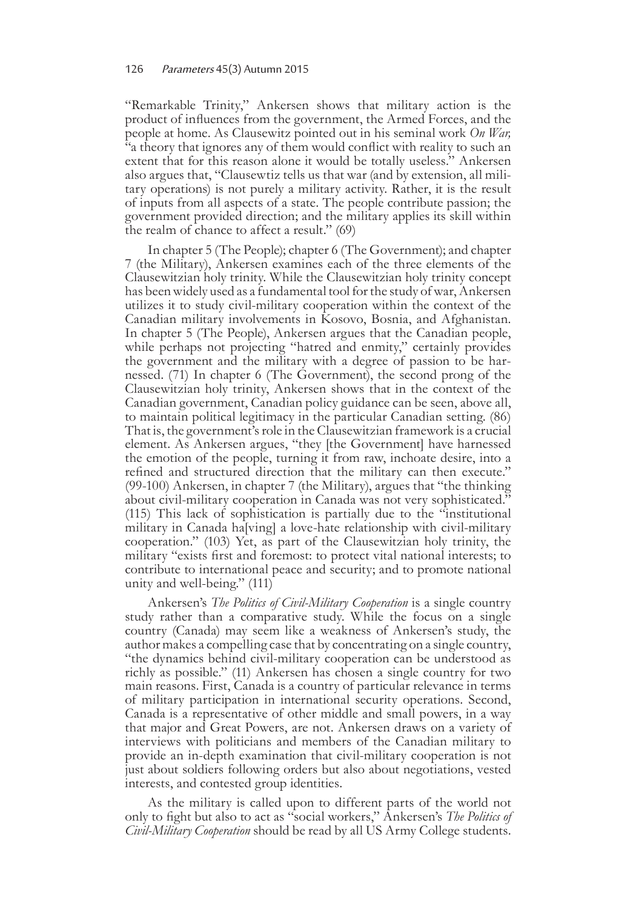"Remarkable Trinity," Ankersen shows that military action is the product of influences from the government, the Armed Forces, and the people at home. As Clausewitz pointed out in his seminal work *On War,*  "a theory that ignores any of them would conflict with reality to such an extent that for this reason alone it would be totally useless." Ankersen also argues that, "Clausewtiz tells us that war (and by extension, all mili- tary operations) is not purely a military activity. Rather, it is the result of inputs from all aspects of a state. The people contribute passion; the government provided direction; and the military applies its skill within the realm of chance to affect a result." (69)

In chapter 5 (The People); chapter 6 (The Government); and chapter 7 (the Military), Ankersen examines each of the three elements of the Clausewitzian holy trinity. While the Clausewitzian holy trinity concept has been widely used as a fundamental tool for the study of war, Ankersen utilizes it to study civil-military cooperation within the context of the Canadian military involvements in Kosovo, Bosnia, and Afghanistan. In chapter 5 (The People), Ankersen argues that the Canadian people, while perhaps not projecting "hatred and enmity," certainly provides the government and the military with a degree of passion to be har- nessed. (71) In chapter 6 (The Government), the second prong of the Clausewitzian holy trinity, Ankersen shows that in the context of the Canadian government, Canadian policy guidance can be seen, above all, to maintain political legitimacy in the particular Canadian setting. (86) That is, the government's role in the Clausewitzian framework is a crucial element. As Ankersen argues, "they [the Government] have harnessed the emotion of the people, turning it from raw, inchoate desire, into a refined and structured direction that the military can then execute." (99-100) Ankersen, in chapter 7 (the Military), argues that "the thinking about civil-military cooperation in Canada was not very sophisticated." (115) This lack of sophistication is partially due to the "institutional military in Canada ha[ving] a love-hate relationship with civil-military cooperation." (103) Yet, as part of the Clausewitzian holy trinity, the military "exists first and foremost: to protect vital national interests; to contribute to international peace and security; and to promote national unity and well-being." (111)

Ankersen's *The Politics of Civil-Military Cooperation* is a single country study rather than a comparative study. While the focus on a single country (Canada) may seem like a weakness of Ankersen's study, the author makes a compelling case that by concentrating on a single country, "the dynamics behind civil-military cooperation can be understood as richly as possible." (11) Ankersen has chosen a single country for two main reasons. First, Canada is a country of particular relevance in terms of military participation in international security operations. Second, Canada is a representative of other middle and small powers, in a way that major and Great Powers, are not. Ankersen draws on a variety of interviews with politicians and members of the Canadian military to provide an in-depth examination that civil-military cooperation is not just about soldiers following orders but also about negotiations, vested interests, and contested group identities.

As the military is called upon to different parts of the world not only to fight but also to act as "social workers," Ankersen's *The Politics of Civil-Military Cooperation* should be read by all US Army College students.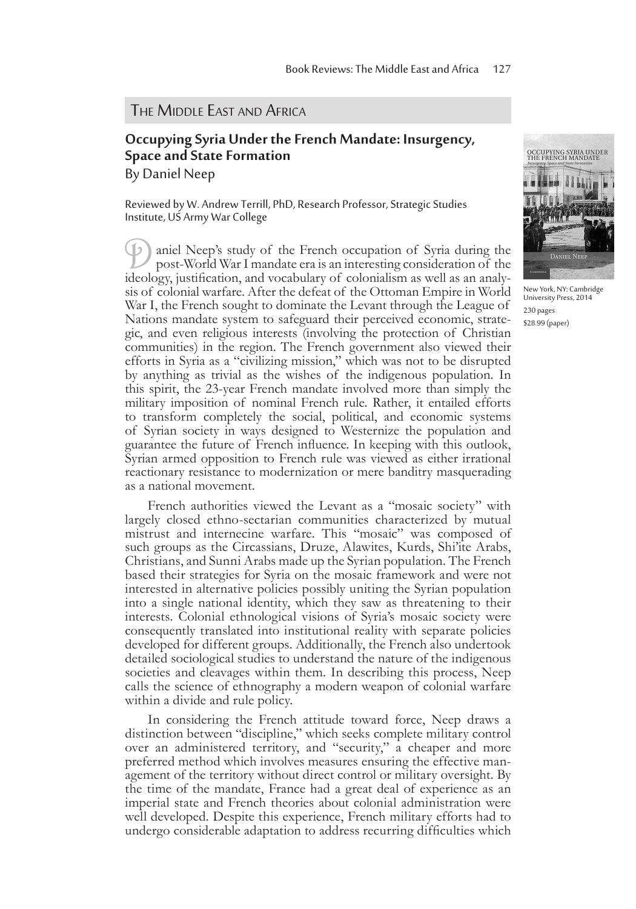#### **THE MIDDLE EAST AND AFRICA**

# **Occupying Syria Under the French Mandate: Insurgency, Space and State Formation**

By Daniel Neep

Reviewed by W. Andrew Terrill, PhD, Research Professor, Strategic Studies Institute, US Army War College

Daniel Neep's study of the French occupation of Syria during the post-World War I mandate era is an interesting consideration of the ideology, justification, and vocabulary of colonialism as well as an analysis of colonial warfare. After the defeat of the Ottoman Empire in World War I, the French sought to dominate the Levant through the League of Nations mandate system to safeguard their perceived economic, strategic, and even religious interests (involving the protection of Christian communities) in the region. The French government also viewed their efforts in Syria as a "civilizing mission," which was not to be disrupted by anything as trivial as the wishes of the indigenous population. In this spirit, the 23-year French mandate involved more than simply the military imposition of nominal French rule. Rather, it entailed efforts to transform completely the social, political, and economic systems of Syrian society in ways designed to Westernize the population and guarantee the future of French influence. In keeping with this outlook, Syrian armed opposition to French rule was viewed as either irrational reactionary resistance to modernization or mere banditry masquerading as a national movement.

French authorities viewed the Levant as a "mosaic society" with largely closed ethno-sectarian communities characterized by mutual mistrust and internecine warfare. This "mosaic" was composed of such groups as the Circassians, Druze, Alawites, Kurds, Shi'ite Arabs, Christians, and Sunni Arabs made up the Syrian population. The French based their strategies for Syria on the mosaic framework and were not interested in alternative policies possibly uniting the Syrian population into a single national identity, which they saw as threatening to their interests. Colonial ethnological visions of Syria's mosaic society were consequently translated into institutional reality with separate policies developed for different groups. Additionally, the French also undertook detailed sociological studies to understand the nature of the indigenous societies and cleavages within them. In describing this process, Neep calls the science of ethnography a modern weapon of colonial warfare within a divide and rule policy.

In considering the French attitude toward force, Neep draws a distinction between "discipline," which seeks complete military control over an administered territory, and "security," a cheaper and more preferred method which involves measures ensuring the effective management of the territory without direct control or military oversight. By the time of the mandate, France had a great deal of experience as an imperial state and French theories about colonial administration were well developed. Despite this experience, French military efforts had to undergo considerable adaptation to address recurring difficulties which



New York, NY: Cambridge University Press, 2014 230 pages \$28.99 (paper)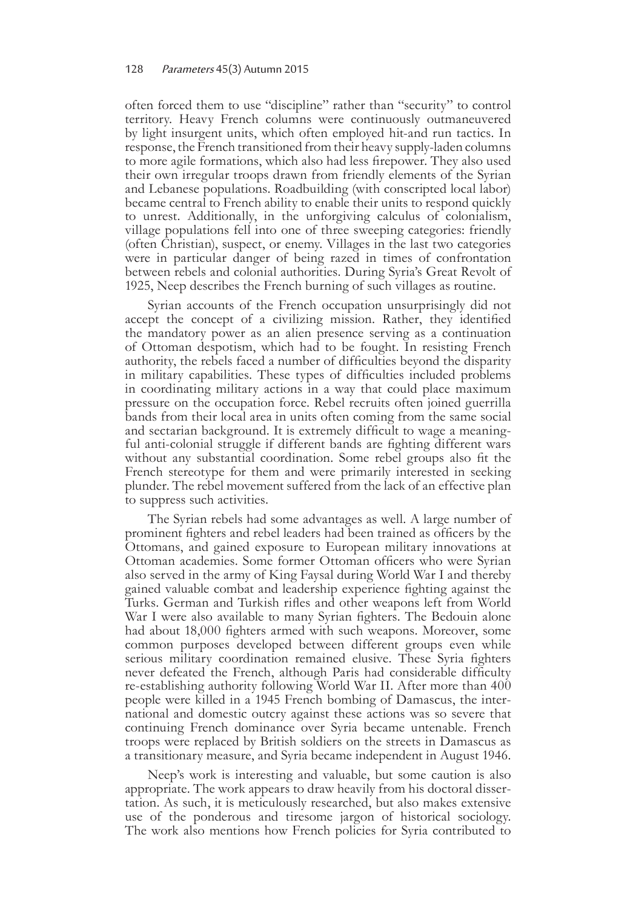often forced them to use "discipline" rather than "security" to control territory. Heavy French columns were continuously outmaneuvered by light insurgent units, which often employed hit-and run tactics. In response, the French transitioned from their heavy supply-laden columns to more agile formations, which also had less firepower. They also used their own irregular troops drawn from friendly elements of the Syrian and Lebanese populations. Roadbuilding (with conscripted local labor) became central to French ability to enable their units to respond quickly to unrest. Additionally, in the unforgiving calculus of colonialism, village populations fell into one of three sweeping categories: friendly (often Christian), suspect, or enemy. Villages in the last two categories were in particular danger of being razed in times of confrontation between rebels and colonial authorities. During Syria's Great Revolt of 1925, Neep describes the French burning of such villages as routine.

Syrian accounts of the French occupation unsurprisingly did not accept the concept of a civilizing mission. Rather, they identified the mandatory power as an alien presence serving as a continuation of Ottoman despotism, which had to be fought. In resisting French authority, the rebels faced a number of difficulties beyond the disparity in military capabilities. These types of difficulties included problems in coordinating military actions in a way that could place maximum pressure on the occupation force. Rebel recruits often joined guerrilla bands from their local area in units often coming from the same social and sectarian background. It is extremely difficult to wage a meaning- ful anti-colonial struggle if different bands are fighting different wars without any substantial coordination. Some rebel groups also fit the French stereotype for them and were primarily interested in seeking plunder. The rebel movement suffered from the lack of an effective plan to suppress such activities.

The Syrian rebels had some advantages as well. A large number of prominent fighters and rebel leaders had been trained as officers by the Ottomans, and gained exposure to European military innovations at Ottoman academies. Some former Ottoman officers who were Syrian also served in the army of King Faysal during World War I and thereby gained valuable combat and leadership experience fighting against the Turks. German and Turkish rifles and other weapons left from World War I were also available to many Syrian fighters. The Bedouin alone had about 18,000 fighters armed with such weapons. Moreover, some common purposes developed between different groups even while serious military coordination remained elusive. These Syria fighters never defeated the French, although Paris had considerable difficulty re-establishing authority following World War II. After more than 400 people were killed in a 1945 French bombing of Damascus, the international and domestic outcry against these actions was so severe that continuing French dominance over Syria became untenable. French troops were replaced by British soldiers on the streets in Damascus as a transitionary measure, and Syria became independent in August 1946.

Neep's work is interesting and valuable, but some caution is also appropriate. The work appears to draw heavily from his doctoral dissertation. As such, it is meticulously researched, but also makes extensive use of the ponderous and tiresome jargon of historical sociology. The work also mentions how French policies for Syria contributed to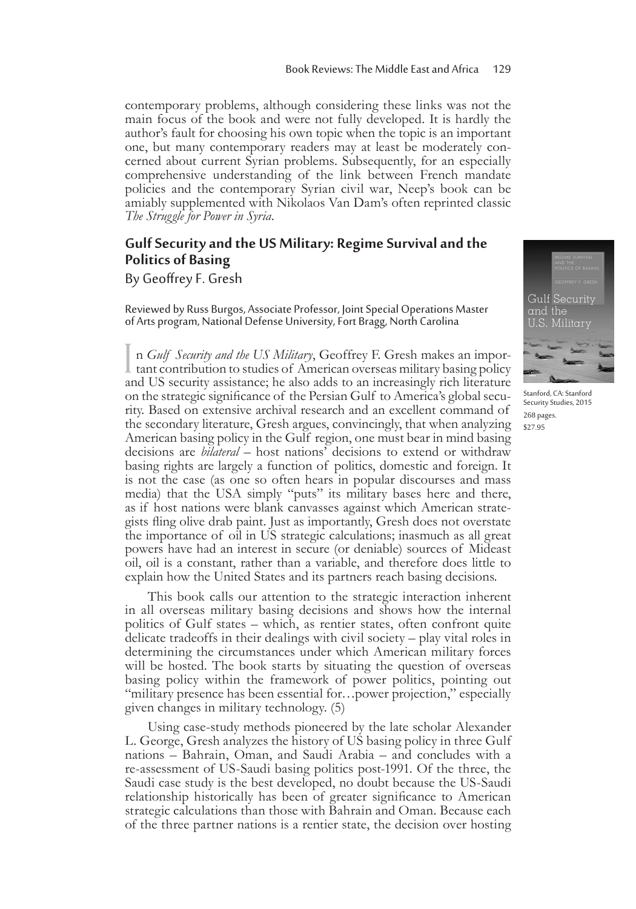contemporary problems, although considering these links was not the main focus of the book and were not fully developed. It is hardly the author's fault for choosing his own topic when the topic is an important one, but many contemporary readers may at least be moderately con- cerned about current Syrian problems. Subsequently, for an especially comprehensive understanding of the link between French mandate policies and the contemporary Syrian civil war, Neep's book can be amiably supplemented with Nikolaos Van Dam's often reprinted classic *The Struggle for Power in Syria*.

# **Gulf Security and the US Military: Regime Survival and the Politics of Basing**

By Geoffrey F. Gresh

Reviewed by Russ Burgos, Associate Professor, Joint Special Operations Master of Arts program, National Defense University, Fort Bragg, North Carolina

In *Gulf Security and the US Military*, Geoffrey F. Gresh makes an important contribution to studies of American overseas military basing policy n *Gulf Security and the US Military*, Geoffrey F. Gresh makes an imporand US security assistance; he also adds to an increasingly rich literature on the strategic significance of the Persian Gulf to America's global security. Based on extensive archival research and an excellent command of the secondary literature, Gresh argues, convincingly, that when analyzing American basing policy in the Gulf region, one must bear in mind basing decisions are *bilateral* – host nations' decisions to extend or withdraw basing rights are largely a function of politics, domestic and foreign. It is not the case (as one so often hears in popular discourses and mass media) that the USA simply "puts" its military bases here and there, as if host nations were blank canvasses against which American strategists fling olive drab paint. Just as importantly, Gresh does not overstate the importance of oil in US strategic calculations; inasmuch as all great powers have had an interest in secure (or deniable) sources of Mideast oil, oil is a constant, rather than a variable, and therefore does little to explain how the United States and its partners reach basing decisions.

This book calls our attention to the strategic interaction inherent in all overseas military basing decisions and shows how the internal politics of Gulf states – which, as rentier states, often confront quite delicate tradeoffs in their dealings with civil society – play vital roles in determining the circumstances under which American military forces will be hosted. The book starts by situating the question of overseas basing policy within the framework of power politics, pointing out "military presence has been essential for…power projection," especially given changes in military technology. (5)

Using case-study methods pioneered by the late scholar Alexander L. George, Gresh analyzes the history of US basing policy in three Gulf nations – Bahrain, Oman, and Saudi Arabia – and concludes with a re-assessment of US-Saudi basing politics post-1991. Of the three, the Saudi case study is the best developed, no doubt because the US-Saudi relationship historically has been of greater significance to American strategic calculations than those with Bahrain and Oman. Because each of the three partner nations is a rentier state, the decision over hosting



Stanford, CA: Stanford Security Studies, 2015 268 pages. \$27.95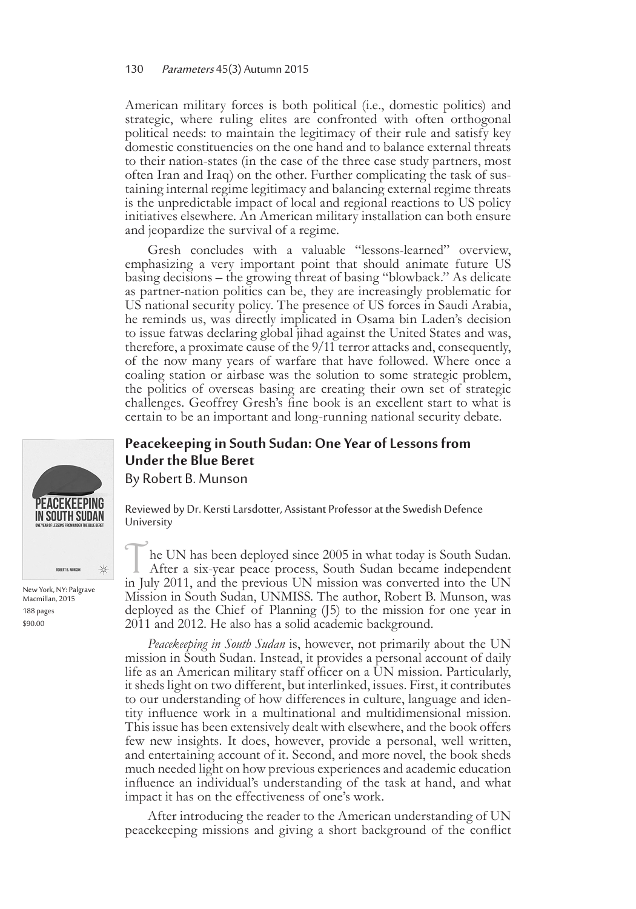American military forces is both political (i.e., domestic politics) and strategic, where ruling elites are confronted with often orthogonal political needs: to maintain the legitimacy of their rule and satisfy key domestic constituencies on the one hand and to balance external threats to their nation-states (in the case of the three case study partners, most often Iran and Iraq) on the other. Further complicating the task of sus- taining internal regime legitimacy and balancing external regime threats is the unpredictable impact of local and regional reactions to US policy initiatives elsewhere. An American military installation can both ensure and jeopardize the survival of a regime.

Gresh concludes with a valuable "lessons-learned" overview, emphasizing a very important point that should animate future US basing decisions – the growing threat of basing "blowback." As delicate as partner-nation politics can be, they are increasingly problematic for US national security policy. The presence of US forces in Saudi Arabia, he reminds us, was directly implicated in Osama bin Laden's decision to issue fatwas declaring global jihad against the United States and was, therefore, a proximate cause of the 9/11 terror attacks and, consequently, of the now many years of warfare that have followed. Where once a coaling station or airbase was the solution to some strategic problem, the politics of overseas basing are creating their own set of strategic challenges. Geoffrey Gresh's fine book is an excellent start to what is certain to be an important and long-running national security debate.

## **Peacekeeping in South Sudan: One Year of Lessons from Under the Blue Beret**

By Robert B. Munson

Reviewed by Dr. Kersti Larsdotter, Assistant Professor at the Swedish Defence University

The UN has been deployed since 2005 in what today is South Sudan.<br>After a six-year peace process, South Sudan became independent in July 2011, and the previous UN mission was converted into the UN Mission in South Sudan, UNMISS. The author, Robert B. Munson, was deployed as the Chief of Planning (J5) to the mission for one year in 2011 and 2012. He also has a solid academic background.

*Peacekeeping in South Sudan* is, however, not primarily about the UN mission in South Sudan. Instead, it provides a personal account of daily life as an American military staff officer on a UN mission. Particularly, it sheds light on two different, but interlinked, issues. First, it contributes to our understanding of how differences in culture, language and iden- tity influence work in a multinational and multidimensional mission. This issue has been extensively dealt with elsewhere, and the book offers few new insights. It does, however, provide a personal, well written, and entertaining account of it. Second, and more novel, the book sheds much needed light on how previous experiences and academic education influence an individual's understanding of the task at hand, and what impact it has on the effectiveness of one's work.

After introducing the reader to the American understanding of UN peacekeeping missions and giving a short background of the conflict

PEACEKEEPING IN SOUTH SUDAN ₩ New York, NY: Palgrave Macmillan, 2015

188 pages \$90.00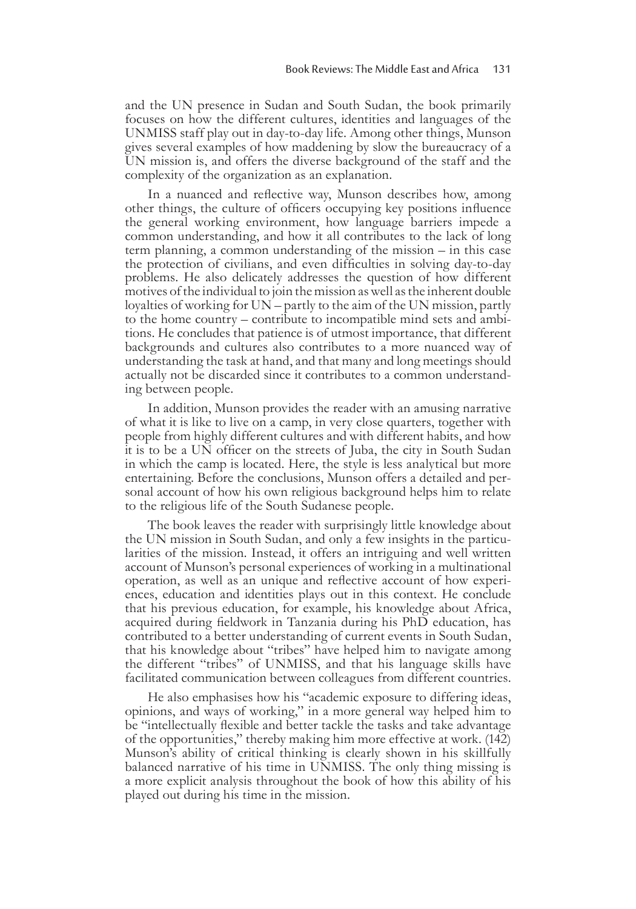and the UN presence in Sudan and South Sudan, the book primarily focuses on how the different cultures, identities and languages of the UNMISS staff play out in day-to-day life. Among other things, Munson gives several examples of how maddening by slow the bureaucracy of a UN mission is, and offers the diverse background of the staff and the complexity of the organization as an explanation.

In a nuanced and reflective way, Munson describes how, among other things, the culture of officers occupying key positions influence the general working environment, how language barriers impede a common understanding, and how it all contributes to the lack of long term planning, a common understanding of the mission – in this case the protection of civilians, and even difficulties in solving day-to-day problems. He also delicately addresses the question of how different motives of the individual to join the mission as well as the inherent double loyalties of working for UN – partly to the aim of the UN mission, partly to the home country – contribute to incompatible mind sets and ambi- tions. He concludes that patience is of utmost importance, that different backgrounds and cultures also contributes to a more nuanced way of understanding the task at hand, and that many and long meetings should actually not be discarded since it contributes to a common understand- ing between people.

In addition, Munson provides the reader with an amusing narrative of what it is like to live on a camp, in very close quarters, together with people from highly different cultures and with different habits, and how it is to be a UN officer on the streets of Juba, the city in South Sudan in which the camp is located. Here, the style is less analytical but more entertaining. Before the conclusions, Munson offers a detailed and personal account of how his own religious background helps him to relate to the religious life of the South Sudanese people.

The book leaves the reader with surprisingly little knowledge about the UN mission in South Sudan, and only a few insights in the particularities of the mission. Instead, it offers an intriguing and well written account of Munson's personal experiences of working in a multinational operation, as well as an unique and reflective account of how experi- ences, education and identities plays out in this context. He conclude that his previous education, for example, his knowledge about Africa, acquired during fieldwork in Tanzania during his PhD education, has contributed to a better understanding of current events in South Sudan, that his knowledge about "tribes" have helped him to navigate among the different "tribes" of UNMISS, and that his language skills have facilitated communication between colleagues from different countries.

He also emphasises how his "academic exposure to differing ideas, opinions, and ways of working," in a more general way helped him to be "intellectually flexible and better tackle the tasks and take advantage of the opportunities," thereby making him more effective at work. (142) Munson's ability of critical thinking is clearly shown in his skillfully balanced narrative of his time in UNMISS. The only thing missing is a more explicit analysis throughout the book of how this ability of his played out during his time in the mission.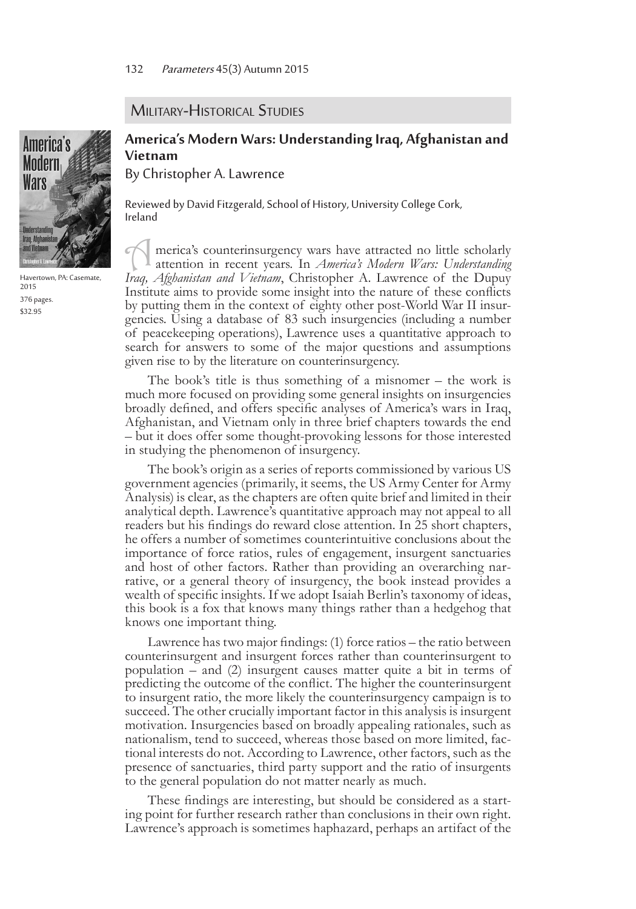#### **MILITARY-HISTORICAL STUDIES**



Havertown, PA: Casemate, 2015 376 pages. \$32.95

## **America's Modern Wars: Understanding Iraq, Afghanistan and Vietnam**

By Christopher A. Lawrence

Reviewed by David Fitzgerald, School of History, University College Cork, Ireland

A merica's counterinsurgency wars have attracted no little scholarly attention in recent years. In *America's Modern Wars: Understanding Iraq, Afghanistan and Vietnam*, Christopher A. Lawrence of the Dupuy Institute aims to provide some insight into the nature of these conflicts by putting them in the context of eighty other post-World War II insurgencies. Using a database of 83 such insurgencies (including a number of peacekeeping operations), Lawrence uses a quantitative approach to search for answers to some of the major questions and assumptions given rise to by the literature on counterinsurgency.

The book's title is thus something of a misnomer – the work is much more focused on providing some general insights on insurgencies broadly defined, and offers specific analyses of America's wars in Iraq, Afghanistan, and Vietnam only in three brief chapters towards the end – but it does offer some thought-provoking lessons for those interested in studying the phenomenon of insurgency.

The book's origin as a series of reports commissioned by various US government agencies (primarily, it seems, the US Army Center for Army Analysis) is clear, as the chapters are often quite brief and limited in their analytical depth. Lawrence's quantitative approach may not appeal to all readers but his findings do reward close attention. In 25 short chapters, he offers a number of sometimes counterintuitive conclusions about the importance of force ratios, rules of engagement, insurgent sanctuaries and host of other factors. Rather than providing an overarching nar- rative, or a general theory of insurgency, the book instead provides a wealth of specific insights. If we adopt Isaiah Berlin's taxonomy of ideas, this book is a fox that knows many things rather than a hedgehog that knows one important thing.

Lawrence has two major findings: (1) force ratios – the ratio between counterinsurgent and insurgent forces rather than counterinsurgent to population – and (2) insurgent causes matter quite a bit in terms of predicting the outcome of the conflict. The higher the counterinsurgent to insurgent ratio, the more likely the counterinsurgency campaign is to succeed. The other crucially important factor in this analysis is insurgent motivation. Insurgencies based on broadly appealing rationales, such as nationalism, tend to succeed, whereas those based on more limited, factional interests do not. According to Lawrence, other factors, such as the presence of sanctuaries, third party support and the ratio of insurgents to the general population do not matter nearly as much.

These findings are interesting, but should be considered as a starting point for further research rather than conclusions in their own right. Lawrence's approach is sometimes haphazard, perhaps an artifact of the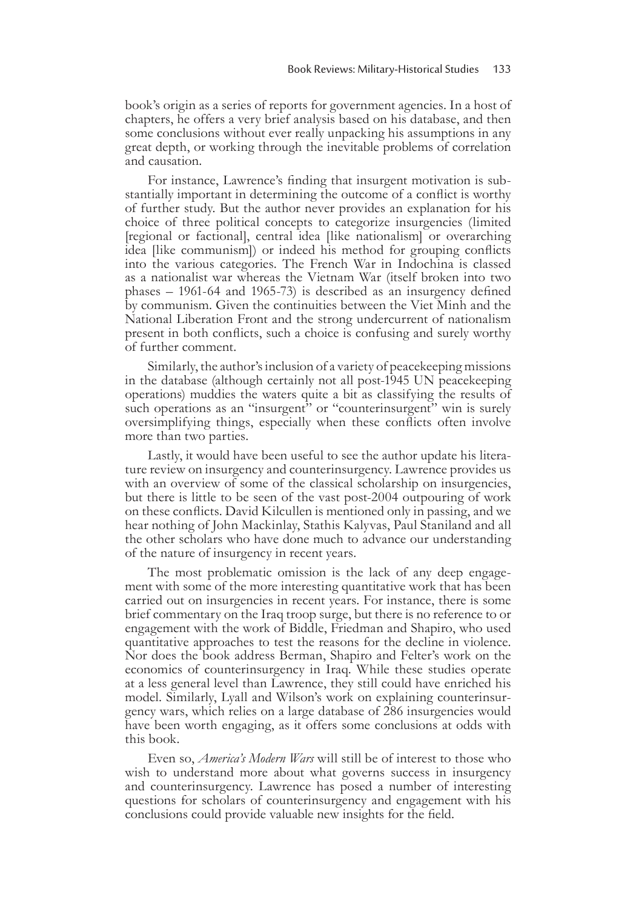book's origin as a series of reports for government agencies. In a host of chapters, he offers a very brief analysis based on his database, and then some conclusions without ever really unpacking his assumptions in any great depth, or working through the inevitable problems of correlation and causation.

For instance, Lawrence's finding that insurgent motivation is substantially important in determining the outcome of a conflict is worthy of further study. But the author never provides an explanation for his choice of three political concepts to categorize insurgencies (limited [regional or factional], central idea [like nationalism] or overarching idea [like communism]) or indeed his method for grouping conflicts into the various categories. The French War in Indochina is classed as a nationalist war whereas the Vietnam War (itself broken into two phases – 1961-64 and 1965-73) is described as an insurgency defined by communism. Given the continuities between the Viet Minh and the National Liberation Front and the strong undercurrent of nationalism present in both conflicts, such a choice is confusing and surely worthy of further comment.

Similarly, the author's inclusion of a variety of peacekeeping missions in the database (although certainly not all post-1945 UN peacekeeping operations) muddies the waters quite a bit as classifying the results of such operations as an "insurgent" or "counterinsurgent" win is surely oversimplifying things, especially when these conflicts often involve more than two parties.

Lastly, it would have been useful to see the author update his litera- ture review on insurgency and counterinsurgency. Lawrence provides us with an overview of some of the classical scholarship on insurgencies, but there is little to be seen of the vast post-2004 outpouring of work on these conflicts. David Kilcullen is mentioned only in passing, and we hear nothing of John Mackinlay, Stathis Kalyvas, Paul Staniland and all the other scholars who have done much to advance our understanding of the nature of insurgency in recent years.

The most problematic omission is the lack of any deep engage- ment with some of the more interesting quantitative work that has been carried out on insurgencies in recent years. For instance, there is some brief commentary on the Iraq troop surge, but there is no reference to or engagement with the work of Biddle, Friedman and Shapiro, who used quantitative approaches to test the reasons for the decline in violence. Nor does the book address Berman, Shapiro and Felter's work on the economics of counterinsurgency in Iraq. While these studies operate at a less general level than Lawrence, they still could have enriched his model. Similarly, Lyall and Wilson's work on explaining counterinsur- gency wars, which relies on a large database of 286 insurgencies would have been worth engaging, as it offers some conclusions at odds with this book.

Even so, *America's Modern Wars* will still be of interest to those who wish to understand more about what governs success in insurgency and counterinsurgency. Lawrence has posed a number of interesting questions for scholars of counterinsurgency and engagement with his conclusions could provide valuable new insights for the field.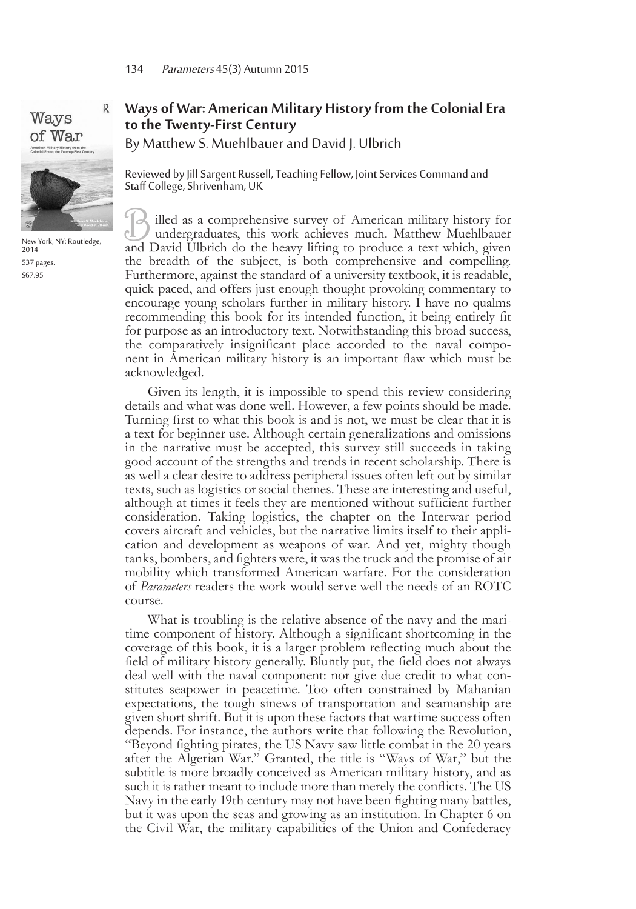# Ways of War



New York, NY: Routledge, 2014 537 pages. \$67.95

### **Ways of War: American Military History from the Colonial Era to the Twenty-First Century** By Matthew S. Muehlbauer and David J. Ulbrich

Reviewed by Jill Sargent Russell, Teaching Fellow, Joint Services Command and Staff College, Shrivenham, UK

illed as a comprehensive survey of American military history for undergraduates, this work achieves much. Matthew Muehlbauer and David Ulbrich do the heavy lifting to produce a text which, given the breadth of the subject, is both comprehensive and compelling. Furthermore, against the standard of a university textbook, it is readable, quick-paced, and offers just enough thought-provoking commentary to encourage young scholars further in military history. I have no qualms recommending this book for its intended function, it being entirely fit for purpose as an introductory text. Notwithstanding this broad success, the comparatively insignificant place accorded to the naval component in American military history is an important flaw which must be acknowledged.

Given its length, it is impossible to spend this review considering details and what was done well. However, a few points should be made. Turning first to what this book is and is not, we must be clear that it is a text for beginner use. Although certain generalizations and omissions in the narrative must be accepted, this survey still succeeds in taking good account of the strengths and trends in recent scholarship. There is as well a clear desire to address peripheral issues often left out by similar texts, such as logistics or social themes. These are interesting and useful, although at times it feels they are mentioned without sufficient further consideration. Taking logistics, the chapter on the Interwar period covers aircraft and vehicles, but the narrative limits itself to their appli- cation and development as weapons of war. And yet, mighty though tanks, bombers, and fighters were, it was the truck and the promise of air mobility which transformed American warfare. For the consideration of *Parameters* readers the work would serve well the needs of an ROTC course.

What is troubling is the relative absence of the navy and the maritime component of history. Although a significant shortcoming in the coverage of this book, it is a larger problem reflecting much about the field of military history generally. Bluntly put, the field does not always deal well with the naval component: nor give due credit to what con- stitutes seapower in peacetime. Too often constrained by Mahanian expectations, the tough sinews of transportation and seamanship are given short shrift. But it is upon these factors that wartime success often depends. For instance, the authors write that following the Revolution, "Beyond fighting pirates, the US Navy saw little combat in the 20 years after the Algerian War." Granted, the title is "Ways of War," but the subtitle is more broadly conceived as American military history, and as such it is rather meant to include more than merely the conflicts. The US Navy in the early 19th century may not have been fighting many battles, but it was upon the seas and growing as an institution. In Chapter 6 on the Civil War, the military capabilities of the Union and Confederacy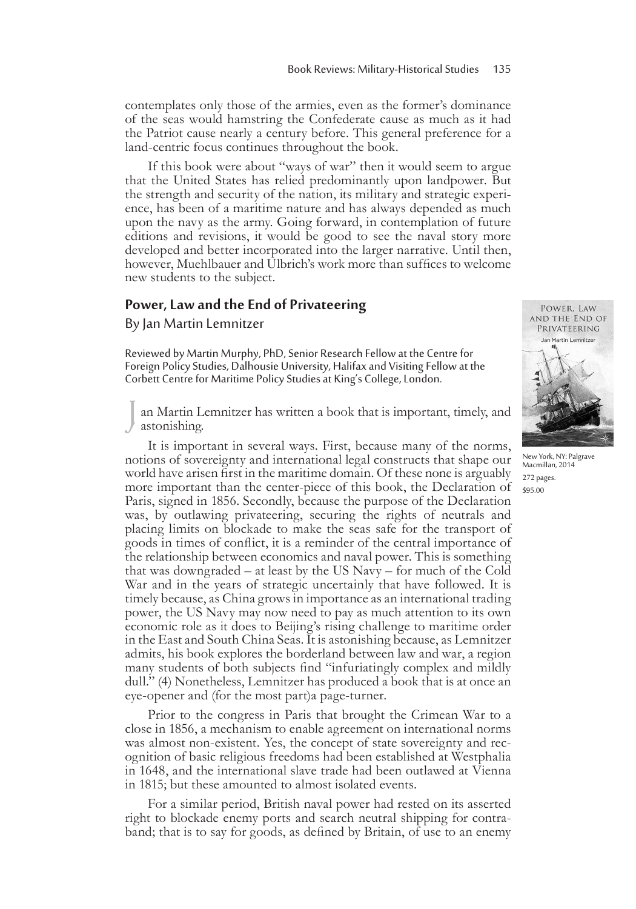contemplates only those of the armies, even as the former's dominance of the seas would hamstring the Confederate cause as much as it had the Patriot cause nearly a century before. This general preference for a land-centric focus continues throughout the book.

If this book were about "ways of war" then it would seem to argue that the United States has relied predominantly upon landpower. But the strength and security of the nation, its military and strategic experi- ence, has been of a maritime nature and has always depended as much upon the navy as the army. Going forward, in contemplation of future editions and revisions, it would be good to see the naval story more developed and better incorporated into the larger narrative. Until then, however, Muehlbauer and Ulbrich's work more than suffices to welcome new students to the subject.

#### **Power, Law and the End of Privateering**

By Jan Martin Lemnitzer

Reviewed by Martin Murphy, PhD, Senior Research Fellow at the Centre for Foreign Policy Studies, Dalhousie University, Halifax and Visiting Fellow at the Corbett Centre for Maritime Policy Studies at King's College, London.

an Martin Lemnitzer has written a book that is important, timely, and astonishing.

It is important in several ways. First, because many of the norms, notions of sovereignty and international legal constructs that shape our world have arisen first in the maritime domain. Of these none is arguably more important than the center-piece of this book, the Declaration of Paris, signed in 1856. Secondly, because the purpose of the Declaration was, by outlawing privateering, securing the rights of neutrals and placing limits on blockade to make the seas safe for the transport of goods in times of conflict, it is a reminder of the central importance of the relationship between economics and naval power. This is something that was downgraded – at least by the US Navy – for much of the Cold War and in the years of strategic uncertainly that have followed. It is timely because, as China grows in importance as an international trading power, the US Navy may now need to pay as much attention to its own economic role as it does to Beijing's rising challenge to maritime order in the East and South China Seas. It is astonishing because, as Lemnitzer admits, his book explores the borderland between law and war, a region many students of both subjects find "infuriatingly complex and mildly dull." (4) Nonetheless, Lemnitzer has produced a book that is at once an eye-opener and (for the most part)a page-turner.

Prior to the congress in Paris that brought the Crimean War to a close in 1856, a mechanism to enable agreement on international norms was almost non-existent. Yes, the concept of state sovereignty and recognition of basic religious freedoms had been established at Westphalia in 1648, and the international slave trade had been outlawed at Vienna in 1815; but these amounted to almost isolated events.

For a similar period, British naval power had rested on its asserted right to blockade enemy ports and search neutral shipping for contra- band; that is to say for goods, as defined by Britain, of use to an enemy



New York, NY: Palgrave Macmillan, 2014 272 pages. \$95.00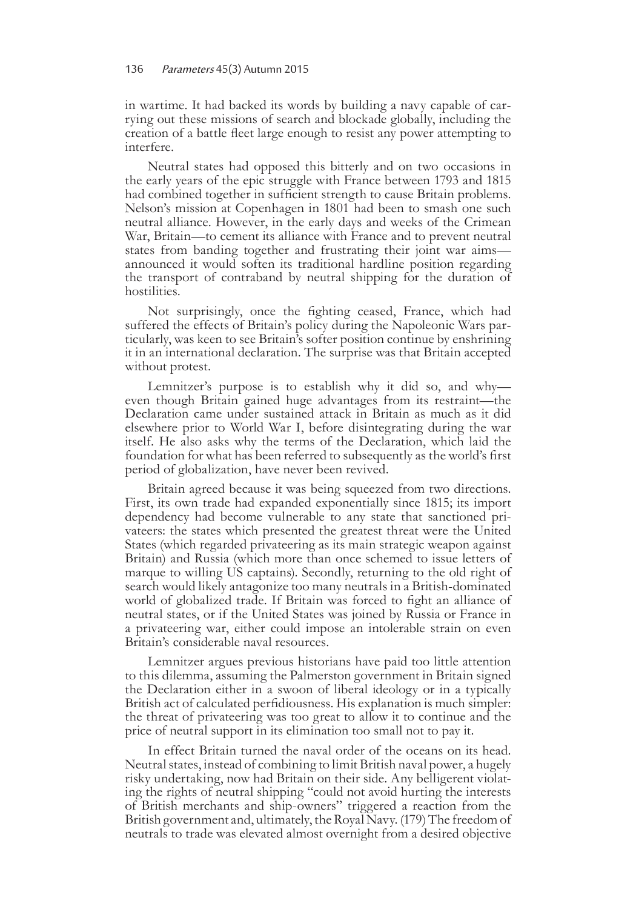in wartime. It had backed its words by building a navy capable of car- rying out these missions of search and blockade globally, including the creation of a battle fleet large enough to resist any power attempting to interfere.

Neutral states had opposed this bitterly and on two occasions in the early years of the epic struggle with France between 1793 and 1815 had combined together in sufficient strength to cause Britain problems. Nelson's mission at Copenhagen in 1801 had been to smash one such neutral alliance. However, in the early days and weeks of the Crimean War, Britain—to cement its alliance with France and to prevent neutral states from banding together and frustrating their joint war aims announced it would soften its traditional hardline position regarding the transport of contraband by neutral shipping for the duration of hostilities.

Not surprisingly, once the fighting ceased, France, which had suffered the effects of Britain's policy during the Napoleonic Wars particularly, was keen to see Britain's softer position continue by enshrining it in an international declaration. The surprise was that Britain accepted without protest.

Lemnitzer's purpose is to establish why it did so, and why even though Britain gained huge advantages from its restraint—the Declaration came under sustained attack in Britain as much as it did elsewhere prior to World War I, before disintegrating during the war itself. He also asks why the terms of the Declaration, which laid the foundation for what has been referred to subsequently as the world's first period of globalization, have never been revived.

Britain agreed because it was being squeezed from two directions. First, its own trade had expanded exponentially since 1815; its import dependency had become vulnerable to any state that sanctioned pri- vateers: the states which presented the greatest threat were the United States (which regarded privateering as its main strategic weapon against Britain) and Russia (which more than once schemed to issue letters of marque to willing US captains). Secondly, returning to the old right of search would likely antagonize too many neutrals in a British-dominated world of globalized trade. If Britain was forced to fight an alliance of neutral states, or if the United States was joined by Russia or France in a privateering war, either could impose an intolerable strain on even Britain's considerable naval resources.

Lemnitzer argues previous historians have paid too little attention to this dilemma, assuming the Palmerston government in Britain signed the Declaration either in a swoon of liberal ideology or in a typically British act of calculated perfidiousness. His explanation is much simpler: the threat of privateering was too great to allow it to continue and the price of neutral support in its elimination too small not to pay it.

In effect Britain turned the naval order of the oceans on its head. Neutral states, instead of combining to limit British naval power, a hugely risky undertaking, now had Britain on their side. Any belligerent violat- ing the rights of neutral shipping "could not avoid hurting the interests of British merchants and ship-owners" triggered a reaction from the British government and, ultimately, the Royal Navy. (179) The freedom of neutrals to trade was elevated almost overnight from a desired objective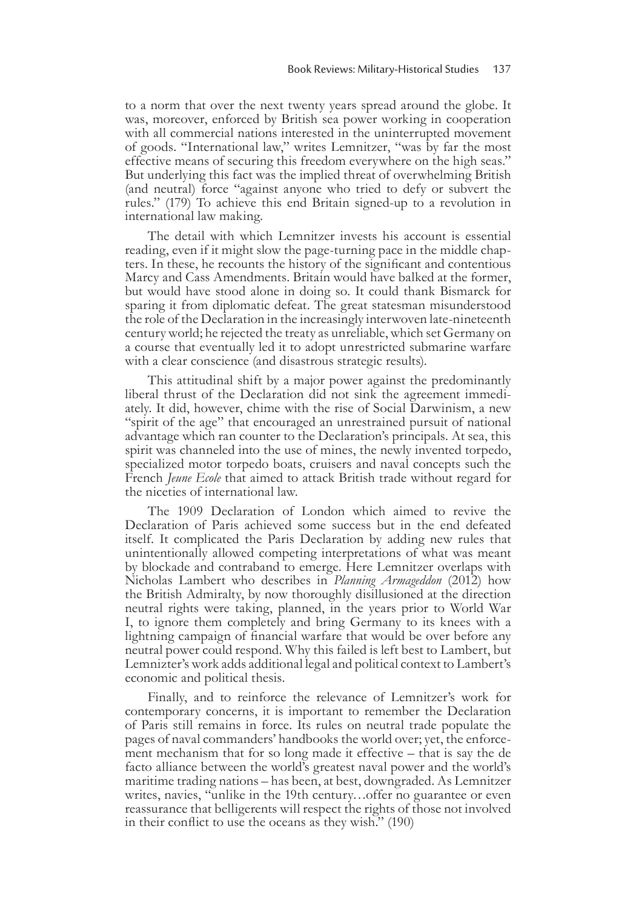to a norm that over the next twenty years spread around the globe. It was, moreover, enforced by British sea power working in cooperation with all commercial nations interested in the uninterrupted movement of goods. "International law," writes Lemnitzer, "was by far the most effective means of securing this freedom everywhere on the high seas." But underlying this fact was the implied threat of overwhelming British (and neutral) force "against anyone who tried to defy or subvert the rules." (179) To achieve this end Britain signed-up to a revolution in international law making.

The detail with which Lemnitzer invests his account is essential reading, even if it might slow the page-turning pace in the middle chapters. In these, he recounts the history of the significant and contentious Marcy and Cass Amendments. Britain would have balked at the former, but would have stood alone in doing so. It could thank Bismarck for sparing it from diplomatic defeat. The great statesman misunderstood the role of the Declaration in the increasingly interwoven late-nineteenth century world; he rejected the treaty as unreliable, which set Germany on a course that eventually led it to adopt unrestricted submarine warfare with a clear conscience (and disastrous strategic results).

This attitudinal shift by a major power against the predominantly liberal thrust of the Declaration did not sink the agreement immediately. It did, however, chime with the rise of Social Darwinism, a new "spirit of the age" that encouraged an unrestrained pursuit of national advantage which ran counter to the Declaration's principals. At sea, this spirit was channeled into the use of mines, the newly invented torpedo, specialized motor torpedo boats, cruisers and naval concepts such the French *Jeune Ecole* that aimed to attack British trade without regard for the niceties of international law.

The 1909 Declaration of London which aimed to revive the Declaration of Paris achieved some success but in the end defeated itself. It complicated the Paris Declaration by adding new rules that unintentionally allowed competing interpretations of what was meant by blockade and contraband to emerge. Here Lemnitzer overlaps with Nicholas Lambert who describes in *Planning Armageddon* (2012) how the British Admiralty, by now thoroughly disillusioned at the direction neutral rights were taking, planned, in the years prior to World War I, to ignore them completely and bring Germany to its knees with a lightning campaign of financial warfare that would be over before any neutral power could respond. Why this failed is left best to Lambert, but Lemnizter's work adds additional legal and political context to Lambert's economic and political thesis.

Finally, and to reinforce the relevance of Lemnitzer's work for contemporary concerns, it is important to remember the Declaration of Paris still remains in force. Its rules on neutral trade populate the pages of naval commanders' handbooks the world over; yet, the enforcement mechanism that for so long made it effective – that is say the de facto alliance between the world's greatest naval power and the world's maritime trading nations – has been, at best, downgraded. As Lemnitzer writes, navies, "unlike in the 19th century…offer no guarantee or even reassurance that belligerents will respect the rights of those not involved in their conflict to use the oceans as they wish." (190)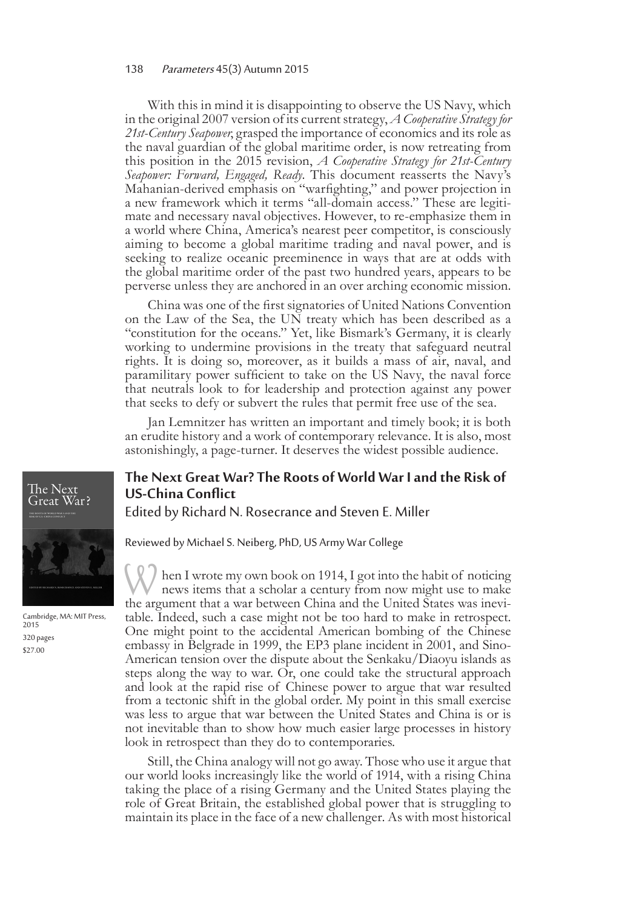With this in mind it is disappointing to observe the US Navy, which in the original 2007 version of its current strategy, *A Cooperative Strategy for 21st-Century Seapower*, grasped the importance of economics and its role as the naval guardian of the global maritime order, is now retreating from this position in the 2015 revision, *A Cooperative Strategy for 21st-Century Seapower: Forward, Engaged, Ready*. This document reasserts the Navy's Mahanian-derived emphasis on "warfighting," and power projection in a new framework which it terms "all-domain access." These are legiti- mate and necessary naval objectives. However, to re-emphasize them in a world where China, America's nearest peer competitor, is consciously aiming to become a global maritime trading and naval power, and is seeking to realize oceanic preeminence in ways that are at odds with the global maritime order of the past two hundred years, appears to be perverse unless they are anchored in an over arching economic mission.

China was one of the first signatories of United Nations Convention on the Law of the Sea, the UN treaty which has been described as a "constitution for the oceans." Yet, like Bismark's Germany, it is clearly working to undermine provisions in the treaty that safeguard neutral rights. It is doing so, moreover, as it builds a mass of air, naval, and paramilitary power sufficient to take on the US Navy, the naval force that neutrals look to for leadership and protection against any power that seeks to defy or subvert the rules that permit free use of the sea.

Jan Lemnitzer has written an important and timely book; it is both an erudite history and a work of contemporary relevance. It is also, most astonishingly, a page-turner. It deserves the widest possible audience.

### **The Next Great War? The Roots of World War I and the Risk of US-China Conflict**

Edited by Richard N. Rosecrance and Steven E. Miller

Reviewed by Michael S. Neiberg, PhD, US Army War College

When I wrote my own book on 1914, I got into the habit of noticing news items that a scholar a century from now might use to make the argument that a war between China and the United States was inevi- table. Indeed, such a case might not be too hard to make in retrospect. One might point to the accidental American bombing of the Chinese embassy in Belgrade in 1999, the EP3 plane incident in 2001, and Sino-American tension over the dispute about the Senkaku/Diaoyu islands as steps along the way to war. Or, one could take the structural approach and look at the rapid rise of Chinese power to argue that war resulted from a tectonic shift in the global order. My point in this small exercise was less to argue that war between the United States and China is or is not inevitable than to show how much easier large processes in history look in retrospect than they do to contemporaries.

Still, the China analogy will not go away. Those who use it argue that our world looks increasingly like the world of 1914, with a rising China taking the place of a rising Germany and the United States playing the role of Great Britain, the established global power that is struggling to maintain its place in the face of a new challenger. As with most historical



Cambridge, MA: MIT Press, 2015 320 pages \$27.00